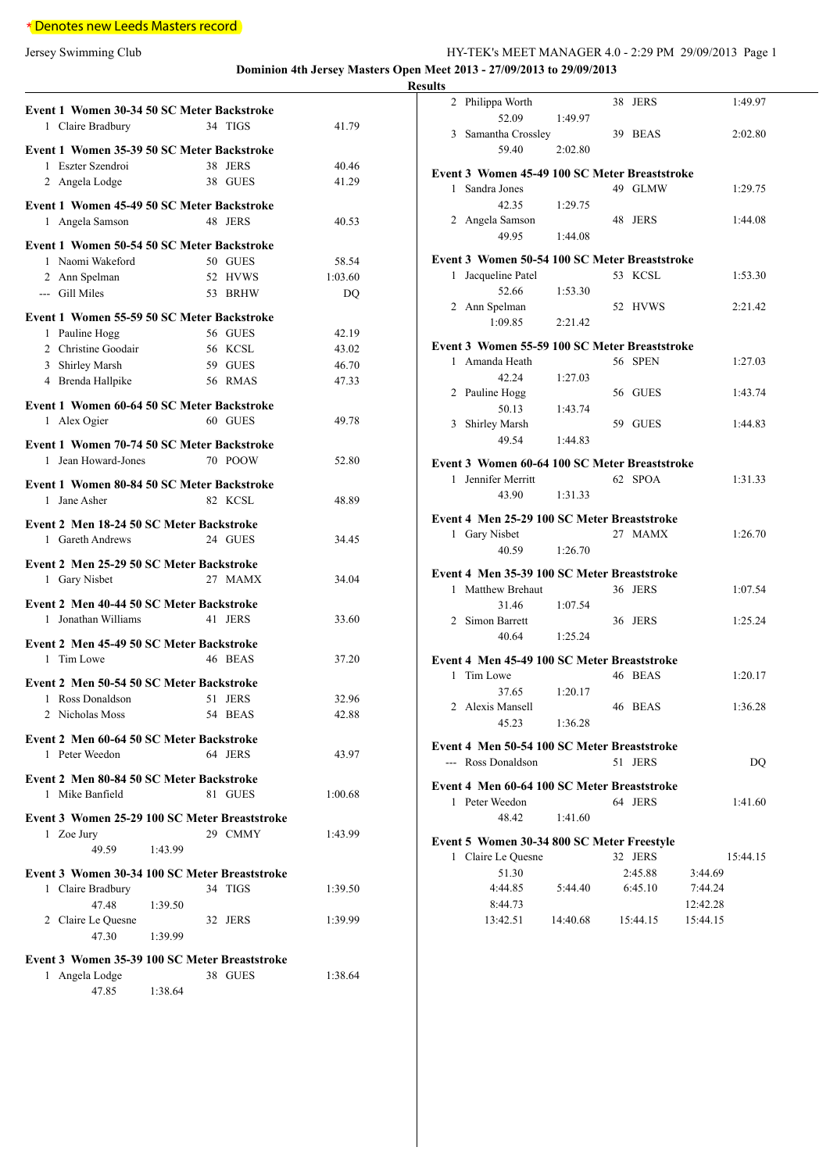# \* Denotes new Leeds Masters record

Jersey Swimming Club HY-TEK's MEET MANAGER 4.0 - 2:29 PM 29/09/2013 Page 1 **Dominion 4th Jersey Masters Open Meet 2013 - 27/09/2013 to 29/09/2013**

| Event 1 Women 30-34 50 SC Meter Backstroke    |                            |
|-----------------------------------------------|----------------------------|
| 1 Claire Bradbury                             | 34 TIGS<br>41.79           |
| Event 1 Women 35-39 50 SC Meter Backstroke    |                            |
| Eszter Szendroi<br>1                          | 38<br><b>JERS</b><br>40.46 |
| 2 Angela Lodge                                | 41.29<br>38 GUES           |
|                                               |                            |
| Event 1 Women 45-49 50 SC Meter Backstroke    | 48 JERS                    |
| 1 Angela Samson                               | 40.53                      |
| Event 1 Women 50-54 50 SC Meter Backstroke    |                            |
| 1 Naomi Wakeford                              | 50 GUES<br>58.54           |
| 2 Ann Spelman                                 | 52 HVWS<br>1:03.60         |
| --- Gill Miles                                | 53 BRHW<br>DQ              |
| Event 1 Women 55-59 50 SC Meter Backstroke    |                            |
| Pauline Hogg<br>1                             | 56 GUES<br>42.19           |
| 2 Christine Goodair                           | 56 KCSL<br>43.02           |
| 3 Shirley Marsh                               | 59 GUES<br>46.70           |
| 4 Brenda Hallpike                             | 56 RMAS<br>47.33           |
| Event 1 Women 60-64 50 SC Meter Backstroke    |                            |
| 1 Alex Ogier                                  | 60 GUES<br>49.78           |
|                                               |                            |
| Event 1 Women 70-74 50 SC Meter Backstroke    |                            |
| 1 Jean Howard-Jones                           | 70 POOW<br>52.80           |
| Event 1 Women 80-84 50 SC Meter Backstroke    |                            |
| Jane Asher<br>1                               | 82 KCSL<br>48.89           |
| Event 2 Men 18-24 50 SC Meter Backstroke      |                            |
| 1 Gareth Andrews                              | 24 GUES<br>34.45           |
|                                               |                            |
| Event 2 Men 25-29 50 SC Meter Backstroke      |                            |
| 1 Gary Nisbet                                 | 27 MAMX<br>34.04           |
| Event 2 Men 40-44 50 SC Meter Backstroke      |                            |
| 1 Jonathan Williams                           | 41 JERS<br>33.60           |
| Event 2 Men 45-49 50 SC Meter Backstroke      |                            |
| Tim Lowe<br>1                                 | 46 BEAS<br>37.20           |
|                                               |                            |
| Event 2 Men 50-54 50 SC Meter Backstroke      |                            |
| 1 Ross Donaldson                              | 51 JERS<br>32.96           |
| 2<br>Nicholas Moss                            | 54<br><b>BEAS</b><br>42.88 |
| Event 2 Men 60-64 50 SC Meter Backstroke      |                            |
| 1 Peter Weedon                                | 64 JERS<br>43.97           |
| Event 2 Men 80-84 50 SC Meter Backstroke      |                            |
| 1 Mike Banfield                               | 81 GUES<br>1:00.68         |
|                                               |                            |
| Event 3 Women 25-29 100 SC Meter Breaststroke |                            |
| 1 Zoe Jury                                    | 29 CMMY<br>1:43.99         |
| 49.59<br>1:43.99                              |                            |
| Event 3 Women 30-34 100 SC Meter Breaststroke |                            |
| 1 Claire Bradbury                             | 34 TIGS<br>1:39.50         |
| 47.48<br>1:39.50                              |                            |
| 2 Claire Le Quesne                            | 32 JERS<br>1:39.99         |
| 47.30<br>1:39.99                              |                            |
| Event 3 Women 35-39 100 SC Meter Breaststroke |                            |
| Angela Lodge<br>1                             | 38 GUES<br>1:38.64         |
| 1:38.64<br>47.85                              |                            |

| ms           |                                               |          |          |          |          |
|--------------|-----------------------------------------------|----------|----------|----------|----------|
|              | 2 Philippa Worth                              |          | 38 JERS  |          | 1:49.97  |
|              | 52.09                                         | 1:49.97  |          |          |          |
|              | 3 Samantha Crossley                           |          | 39 BEAS  |          | 2:02.80  |
|              | 59.40                                         | 2:02.80  |          |          |          |
|              | Event 3 Women 45-49 100 SC Meter Breaststroke |          |          |          |          |
| $\mathbf{1}$ | Sandra Jones                                  |          | 49 GLMW  |          | 1:29.75  |
|              | 42.35                                         | 1:29.75  |          |          |          |
|              | 2 Angela Samson                               |          | 48 JERS  |          | 1:44.08  |
|              | 49.95                                         | 1:44.08  |          |          |          |
|              | Event 3 Women 50-54 100 SC Meter Breaststroke |          |          |          |          |
| $\mathbf{1}$ | Jacqueline Patel                              |          | 53 KCSL  |          | 1:53.30  |
|              | 52.66                                         | 1:53.30  |          |          |          |
|              | 2 Ann Spelman                                 |          | 52 HVWS  |          | 2:21.42  |
|              | 1:09.85                                       | 2:21.42  |          |          |          |
|              | Event 3 Women 55-59 100 SC Meter Breaststroke |          |          |          |          |
|              | 1 Amanda Heath                                |          | 56 SPEN  |          | 1:27.03  |
|              | 42.24                                         | 1:27.03  |          |          |          |
|              | 2 Pauline Hogg                                |          | 56 GUES  |          | 1:43.74  |
|              | 50.13                                         | 1:43.74  |          |          |          |
|              | 3 Shirley Marsh                               |          | 59 GUES  |          | 1:44.83  |
|              | 49.54                                         | 1:44.83  |          |          |          |
|              | Event 3 Women 60-64 100 SC Meter Breaststroke |          |          |          |          |
|              | 1 Jennifer Merritt                            |          | 62 SPOA  |          | 1:31.33  |
|              | 43.90                                         | 1:31.33  |          |          |          |
|              |                                               |          |          |          |          |
|              | Event 4 Men 25-29 100 SC Meter Breaststroke   |          | 27 MAMX  |          |          |
|              | 1 Gary Nisbet<br>40.59                        | 1:26.70  |          |          | 1:26.70  |
|              |                                               |          |          |          |          |
|              | Event 4 Men 35-39 100 SC Meter Breaststroke   |          |          |          |          |
| $\mathbf{1}$ | Matthew Brehaut                               |          | 36 JERS  |          | 1:07.54  |
|              | 31.46                                         | 1:07.54  |          |          |          |
|              | 2 Simon Barrett                               |          | 36 JERS  |          | 1:25.24  |
|              | 40.64                                         | 1:25.24  |          |          |          |
|              | Event 4 Men 45-49 100 SC Meter Breaststroke   |          |          |          |          |
|              | 1 Tim Lowe                                    |          | 46 BEAS  |          | 1:20.17  |
|              | 37.65                                         | 1:20.17  |          |          |          |
|              | 2 Alexis Mansell                              |          | 46 BEAS  |          | 1:36.28  |
|              | 45.23                                         | 1:36.28  |          |          |          |
|              | Event 4 Men 50-54 100 SC Meter Breaststroke   |          |          |          |          |
|              | --- Ross Donaldson                            |          | 51 JERS  |          | DQ       |
|              | Event 4 Men 60-64 100 SC Meter Breaststroke   |          |          |          |          |
|              | 1 Peter Weedon                                |          | 64 JERS  |          | 1:41.60  |
|              | 48.42                                         | 1:41.60  |          |          |          |
|              |                                               |          |          |          |          |
|              | Event 5 Women 30-34 800 SC Meter Freestyle    |          | 32 JERS  |          |          |
|              | 1 Claire Le Quesne<br>51.30                   |          | 2:45.88  | 3:44.69  | 15:44.15 |
|              | 4:44.85                                       | 5:44.40  | 6:45.10  | 7:44.24  |          |
|              | 8:44.73                                       |          |          | 12:42.28 |          |
|              | 13:42.51                                      | 14:40.68 | 15:44.15 | 15:44.15 |          |
|              |                                               |          |          |          |          |
|              |                                               |          |          |          |          |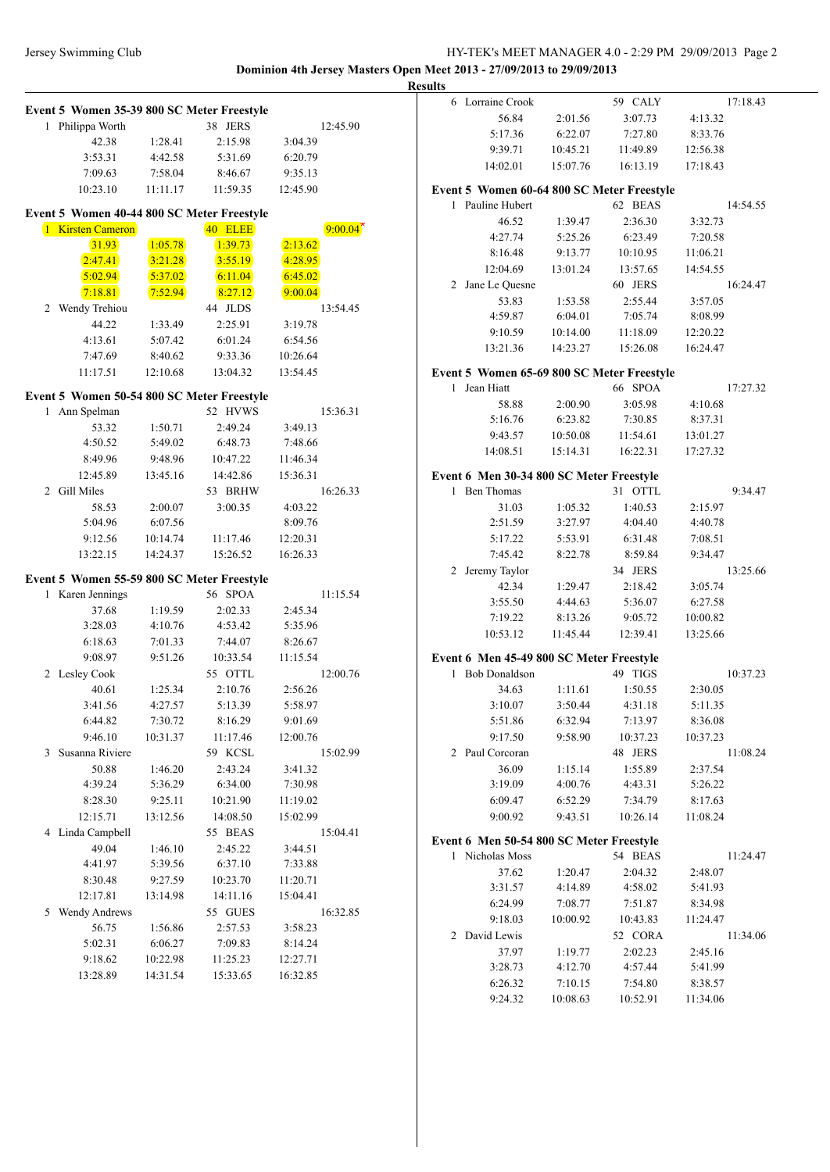## Jersey Swimming Club HY-TEK's MEET MANAGER 4.0 - 2:29 PM 29/09/2013 Page 2 **Dominion 4th Jersey Masters Open Meet 2013 - 27/09/2013 to 29/09/2013**

**Results**

**Event 5 Women 35-39 800 SC Meter Freestyle** 1 Philippa Worth 38 JERS 12:45.90 42.38 1:28.41 2:15.98 3:04.39 3:53.31 4:42.58 5:31.69 6:20.79 7:09.63 7:58.04 8:46.67 9:35.13 10:23.10 11:11.17 11:59.35 12:45.90 **Event 5 Women 40-44 800 SC Meter Freestyle** 1 Kirsten Cameron 40 ELEE 31.93 1:05.78 1:39.73 2:13.62 2:47.41 3:21.28 3:55.19 4:28.95 5:02.94 5:37.02 6:11.04 6:45.02 7:18.81 7:52.94 8:27.12 9:00.04 2 Wendy Trehiou 44 JLDS 13:54.45 44.22 1:33.49 2:25.91 3:19.78 4:13.61 5:07.42 6:01.24 6:54.56 7:47.69 8:40.62 9:33.36 10:26.64 11:17.51 12:10.68 13:04.32 13:54.45 **Event 5 Women 50-54 800 SC Meter Freestyle** 1 Ann Spelman 52 HVWS 15:36.31 53.32 1:50.71 2:49.24 3:49.13 4:50.52 5:49.02 6:48.73 7:48.66 8:49.96 9:48.96 10:47.22 11:46.34 12:45.89 13:45.16 14:42.86 15:36.31 2 Gill Miles 53 BRHW 16:26.33 58.53 2:00.07 3:00.35 4:03.22 5:04.96 6:07.56 8:09.76 9:12.56 10:14.74 11:17.46 12:20.31 13:22.15 14:24.37 15:26.52 16:26.33 **Event 5 Women 55-59 800 SC Meter Freestyle** 1 Karen Jennings 56 SPOA 11:15.54 37.68 1:19.59 2:02.33 2:45.34 3:28.03 4:10.76 4:53.42 5:35.96 6:18.63 7:01.33 7:44.07 8:26.67 9:08.97 9:51.26 10:33.54 11:15.54 2 Lesley Cook 55 OTTL 12:00.76 40.61 1:25.34 2:10.76 2:56.26 3:41.56 4:27.57 5:13.39 5:58.97 6:44.82 7:30.72 8:16.29 9:01.69 9:46.10 10:31.37 11:17.46 12:00.76 3 Susanna Riviere 59 KCSL 15:02.99 50.88 1:46.20 2:43.24 3:41.32 4:39.24 5:36.29 6:34.00 7:30.98 8:28.30 9:25.11 10:21.90 11:19.02 12:15.71 13:12.56 14:08.50 15:02.99 4 Linda Campbell 55 BEAS 15:04.41 49.04 1:46.10 2:45.22 3:44.51 4:41.97 5:39.56 6:37.10 7:33.88 8:30.48 9:27.59 10:23.70 11:20.71 12:17.81 13:14.98 14:11.16 15:04.41 5 Wendy Andrews 55 GUES 16:32.85 56.75 1:56.86 2:57.53 3:58.23 5:02.31 6:06.27 7:09.83 8:14.24 9:18.62 10:22.98 11:25.23 12:27.71 13:28.89 14:31.54 15:33.65 16:32.85 6 Lorraine Crook 59 CALY 17:18.43 56.84 2:01.56 3:07.73 4:13.32 5:17.36 6:22.07 7:27.80 8:33.76 9:39.71 10:45.21 11:49.89 12:56.38 14:02.01 15:07.76 16:13.19 17:18.43 **Event 5 Women 60-64 800 SC Meter Freestyle** 1 Pauline Hubert 62 BEAS 14:54.55 46.52 1:39.47 2:36.30 3:32.73 4:27.74 5:25.26 6:23.49 7:20.58 8:16.48 9:13.77 10:10.95 11:06.21 12:04.69 13:01.24 13:57.65 14:54.55 2 Jane Le Quesne 60 JERS 16:24.47 53.83 1:53.58 2:55.44 3:57.05 4:59.87 6:04.01 7:05.74 8:08.99 9:10.59 10:14.00 11:18.09 12:20.22 13:21.36 14:23.27 15:26.08 16:24.47 **Event 5 Women 65-69 800 SC Meter Freestyle** 1 Jean Hiatt 66 SPOA 17:27.32 58.88 2:00.90 3:05.98 4:10.68 5:16.76 6:23.82 7:30.85 8:37.31 9:43.57 10:50.08 11:54.61 13:01.27 14:08.51 15:14.31 16:22.31 17:27.32 **Event 6 Men 30-34 800 SC Meter Freestyle** 1 Ben Thomas 31 OTTL 9:34.47 31.03 1:05.32 1:40.53 2:15.97 2:51.59 3:27.97 4:04.40 4:40.78 5:17.22 5:53.91 6:31.48 7:08.51 7:45.42 8:22.78 8:59.84 9:34.47 2 Jeremy Taylor 34 JERS 13:25.66 42.34 1:29.47 2:18.42 3:05.74 3:55.50 4:44.63 5:36.07 6:27.58 7:19.22 8:13.26 9:05.72 10:00.82 10:53.12 11:45.44 12:39.41 13:25.66 **Event 6 Men 45-49 800 SC Meter Freestyle** 1 Bob Donaldson 49 TIGS 10:37.23 34.63 1:11.61 1:50.55 2:30.05 3:10.07 3:50.44 4:31.18 5:11.35 5:51.86 6:32.94 7:13.97 8:36.08 9:17.50 9:58.90 10:37.23 10:37.23 2 Paul Corcoran 48 JERS 11:08.24 36.09 1:15.14 1:55.89 2:37.54 3:19.09 4:00.76 4:43.31 5:26.22 6:09.47 6:52.29 7:34.79 8:17.63 9:00.92 9:43.51 10:26.14 11:08.24 **Event 6 Men 50-54 800 SC Meter Freestyle** 1 Nicholas Moss 54 BEAS 11:24.47 37.62 1:20.47 2:04.32 2:48.07 3:31.57 4:14.89 4:58.02 5:41.93 6:24.99 7:08.77 7:51.87 8:34.98 9:18.03 10:00.92 10:43.83 11:24.47 2 David Lewis 52 CORA 11:34.06 37.97 1:19.77 2:02.23 2:45.16 3:28.73 4:12.70 4:57.44 5:41.99 6:26.32 7:10.15 7:54.80 8:38.57 9:24.32 10:08.63 10:52.91 11:34.06  $9:00.04*$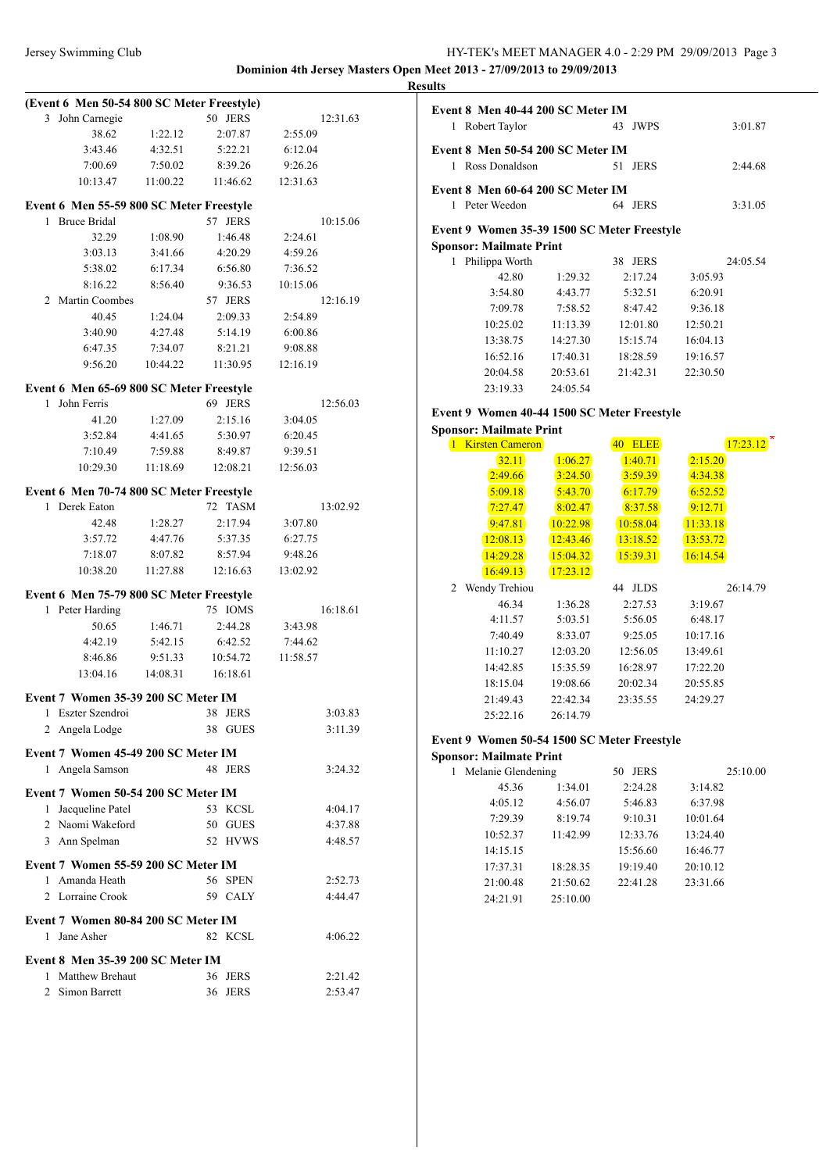### Jersey Swimming Club HY-TEK's MEET MANAGER 4.0 - 2:29 PM 29/09/2013 Page 3 **Dominion 4th Jersey Masters Open Meet 2013 - 27/09/2013 to 29/09/2013**

|                                                     |                                                          |          | (Event 6 Men 50-54 800 SC Meter Freestyle) |          |                    | Event 8 Men 40-44 200 SC Meter IM           |                    |                    |                    |                         |
|-----------------------------------------------------|----------------------------------------------------------|----------|--------------------------------------------|----------|--------------------|---------------------------------------------|--------------------|--------------------|--------------------|-------------------------|
|                                                     | 3 John Carnegie                                          |          | 50 JERS                                    |          | 12:31.63           | 1 Robert Taylor                             |                    | 43 JWPS            |                    | 3:01.87                 |
|                                                     | 38.62                                                    | 1:22.12  | 2:07.87                                    | 2:55.09  |                    |                                             |                    |                    |                    |                         |
|                                                     | 3:43.46                                                  | 4:32.51  | 5:22.21                                    | 6:12.04  |                    | Event 8 Men 50-54 200 SC Meter IM           |                    |                    |                    |                         |
|                                                     | 7:00.69                                                  | 7:50.02  | 8:39.26                                    | 9:26.26  |                    | 1 Ross Donaldson                            |                    | 51 JERS            |                    | 2:44.68                 |
|                                                     | 10:13.47                                                 | 11:00.22 | 11:46.62                                   | 12:31.63 |                    | Event 8 Men 60-64 200 SC Meter IM           |                    |                    |                    |                         |
|                                                     |                                                          |          | Event 6 Men 55-59 800 SC Meter Freestyle   |          |                    | 1 Peter Weedon                              |                    | 64 JERS            |                    | 3:31.05                 |
| 1 Bruce Bridal                                      |                                                          |          | 57 JERS                                    |          | 10:15.06           |                                             |                    |                    |                    |                         |
|                                                     | 32.29                                                    | 1:08.90  | 1:46.48                                    | 2:24.61  |                    | Event 9 Women 35-39 1500 SC Meter Freestyle |                    |                    |                    |                         |
|                                                     | 3:03.13                                                  | 3:41.66  | 4:20.29                                    | 4:59.26  |                    | <b>Sponsor: Mailmate Print</b>              |                    |                    |                    |                         |
|                                                     | 5:38.02                                                  | 6:17.34  | 6:56.80                                    | 7:36.52  |                    | 1 Philippa Worth<br>42.80                   |                    | 38 JERS            |                    | 24:05.54                |
|                                                     | 8:16.22                                                  | 8:56.40  | 9:36.53                                    | 10:15.06 |                    | 3:54.80                                     | 1:29.32<br>4:43.77 | 2:17.24<br>5:32.51 | 3:05.93<br>6:20.91 |                         |
|                                                     | 2 Martin Coombes                                         |          | 57 JERS                                    |          | 12:16.19           | 7:09.78                                     | 7:58.52            | 8:47.42            | 9:36.18            |                         |
|                                                     | 40.45                                                    | 1:24.04  | 2:09.33                                    | 2:54.89  |                    | 10:25.02                                    | 11:13.39           | 12:01.80           | 12:50.21           |                         |
|                                                     | 3:40.90                                                  | 4:27.48  | 5:14.19                                    | 6:00.86  |                    | 13:38.75                                    | 14:27.30           | 15:15.74           | 16:04.13           |                         |
|                                                     | 6:47.35                                                  | 7:34.07  | 8:21.21                                    | 9:08.88  |                    | 16:52.16                                    | 17:40.31           | 18:28.59           | 19:16.57           |                         |
|                                                     | 9:56.20                                                  | 10:44.22 | 11:30.95                                   | 12:16.19 |                    | 20:04.58                                    | 20:53.61           | 21:42.31           | 22:30.50           |                         |
|                                                     |                                                          |          | Event 6 Men 65-69 800 SC Meter Freestyle   |          |                    | 23:19.33                                    | 24:05.54           |                    |                    |                         |
| 1 John Ferris                                       |                                                          |          | 69 JERS                                    |          | 12:56.03           |                                             |                    |                    |                    |                         |
|                                                     | 41.20                                                    | 1:27.09  | 2:15.16                                    | 3:04.05  |                    | Event 9 Women 40-44 1500 SC Meter Freestyle |                    |                    |                    |                         |
|                                                     | 3:52.84                                                  | 4:41.65  | 5:30.97                                    | 6:20.45  |                    | <b>Sponsor: Mailmate Print</b>              |                    |                    |                    |                         |
|                                                     | 7:10.49                                                  | 7:59.88  | 8:49.87                                    | 9:39.51  |                    | 1 Kirsten Cameron                           |                    | 40 ELEE            |                    | $17:23.12$ <sup>*</sup> |
|                                                     | 10:29.30                                                 | 11:18.69 | 12:08.21                                   | 12:56.03 |                    | 32.11                                       | 1:06.27            | 1:40.71            | 2:15.20            |                         |
|                                                     |                                                          |          |                                            |          |                    | 2:49.66                                     | 3:24.50            | 3:59.39            | 4:34.38            |                         |
|                                                     |                                                          |          | Event 6 Men 70-74 800 SC Meter Freestyle   |          |                    | 5:09.18                                     | 5:43.70            | 6:17.79            | 6:52.52            |                         |
| 1 Derek Eaton                                       |                                                          |          | 72 TASM                                    |          | 13:02.92           | 7:27.47                                     | 8:02.47            | 8:37.58            | 9:12.71            |                         |
|                                                     | 42.48                                                    | 1:28.27  | 2:17.94                                    | 3:07.80  |                    | 9:47.81                                     | 10:22.98           | 10:58.04           | 11:33.18           |                         |
|                                                     | 3:57.72                                                  | 4:47.76  | 5:37.35                                    | 6:27.75  |                    | 12:08.13                                    | 12:43.46           | 13:18.52           | 13:53.72           |                         |
|                                                     | 7:18.07                                                  | 8:07.82  | 8:57.94                                    | 9:48.26  |                    | 14:29.28                                    | 15:04.32           | 15:39.31           | 16:14.54           |                         |
|                                                     | 10:38.20                                                 | 11:27.88 | 12:16.63                                   | 13:02.92 |                    | 16:49.13                                    | 17:23.12           |                    |                    |                         |
|                                                     |                                                          |          | Event 6 Men 75-79 800 SC Meter Freestyle   |          |                    | 2 Wendy Trehiou                             |                    | 44 JLDS            |                    | 26:14.79                |
|                                                     | 1 Peter Harding                                          |          | 75 IOMS                                    |          | 16:18.61           | 46.34                                       | 1:36.28            | 2:27.53            | 3:19.67            |                         |
|                                                     | 50.65                                                    | 1:46.71  | 2:44.28                                    | 3:43.98  |                    | 4:11.57                                     | 5:03.51            | 5:56.05            | 6:48.17            |                         |
|                                                     | 4:42.19                                                  | 5:42.15  | 6:42.52                                    | 7:44.62  |                    | 7:40.49                                     | 8:33.07            | 9:25.05            | 10:17.16           |                         |
|                                                     | 8:46.86                                                  | 9:51.33  | 10:54.72                                   | 11:58.57 |                    | 11:10.27                                    | 12:03.20           | 12:56.05           | 13:49.61           |                         |
|                                                     | 13:04.16                                                 | 14:08.31 | 16:18.61                                   |          |                    | 14:42.85                                    | 15:35.59           | 16:28.97           | 17:22.20           |                         |
|                                                     |                                                          |          |                                            |          |                    | 18:15.04                                    | 19:08.66           | 20:02.34           | 20:55.85           |                         |
|                                                     | Event 7 Women 35-39 200 SC Meter IM<br>1 Eszter Szendroi |          | 38 JERS                                    |          | 3:03.83            | 21:49.43                                    | 22:42.34           | 23:35.55           | 24:29.27           |                         |
|                                                     | 2 Angela Lodge                                           |          | 38 GUES                                    |          | 3:11.39            | 25:22.16                                    | 26:14.79           |                    |                    |                         |
|                                                     |                                                          |          |                                            |          |                    | Event 9 Women 50-54 1500 SC Meter Freestyle |                    |                    |                    |                         |
| Event 7 Women 45-49 200 SC Meter IM                 |                                                          |          |                                            |          |                    | <b>Sponsor: Mailmate Print</b>              |                    |                    |                    |                         |
|                                                     | 1 Angela Samson                                          |          | 48 JERS                                    |          | 3:24.32            | 1 Melanie Glendening                        |                    | 50 JERS            |                    | 25:10.00                |
| Event 7 Women 50-54 200 SC Meter IM                 |                                                          |          |                                            |          |                    | 45.36                                       | 1:34.01            | 2:24.28            | 3:14.82            |                         |
|                                                     | 1 Jacqueline Patel                                       |          | 53 KCSL                                    |          | 4:04.17            | 4:05.12                                     | 4:56.07            | 5:46.83            | 6:37.98            |                         |
|                                                     | 2 Naomi Wakeford                                         |          | 50 GUES                                    |          | 4:37.88            | 7:29.39                                     | 8:19.74            | 9:10.31            | 10:01.64           |                         |
| 3 Ann Spelman                                       |                                                          |          | 52 HVWS                                    |          | 4:48.57            | 10:52.37                                    | 11:42.99           | 12:33.76           | 13:24.40           |                         |
|                                                     |                                                          |          |                                            |          |                    | 14:15.15                                    |                    | 15:56.60           | 16:46.77           |                         |
| Event 7 Women 55-59 200 SC Meter IM                 |                                                          |          |                                            |          |                    | 17:37.31                                    | 18:28.35           | 19:19.40           | 20:10.12           |                         |
|                                                     | 1 Amanda Heath                                           |          | 56 SPEN                                    |          | 2:52.73            | 21:00.48                                    | 21:50.62           | 22:41.28           | 23:31.66           |                         |
|                                                     |                                                          |          | 59 CALY                                    |          | 4:44.47            | 24:21.91                                    | 25:10.00           |                    |                    |                         |
| 2 Lorraine Crook                                    |                                                          |          |                                            |          |                    |                                             |                    |                    |                    |                         |
|                                                     |                                                          |          |                                            |          |                    |                                             |                    |                    |                    |                         |
|                                                     |                                                          |          |                                            |          |                    |                                             |                    |                    |                    |                         |
| Event 7 Women 80-84 200 SC Meter IM<br>1 Jane Asher |                                                          |          | 82 KCSL                                    |          | 4:06.22            |                                             |                    |                    |                    |                         |
| Event 8 Men 35-39 200 SC Meter IM                   |                                                          |          |                                            |          |                    |                                             |                    |                    |                    |                         |
|                                                     | 1 Matthew Brehaut<br>2 Simon Barrett                     |          | 36 JERS<br>36 JERS                         |          | 2:21.42<br>2:53.47 |                                             |                    |                    |                    |                         |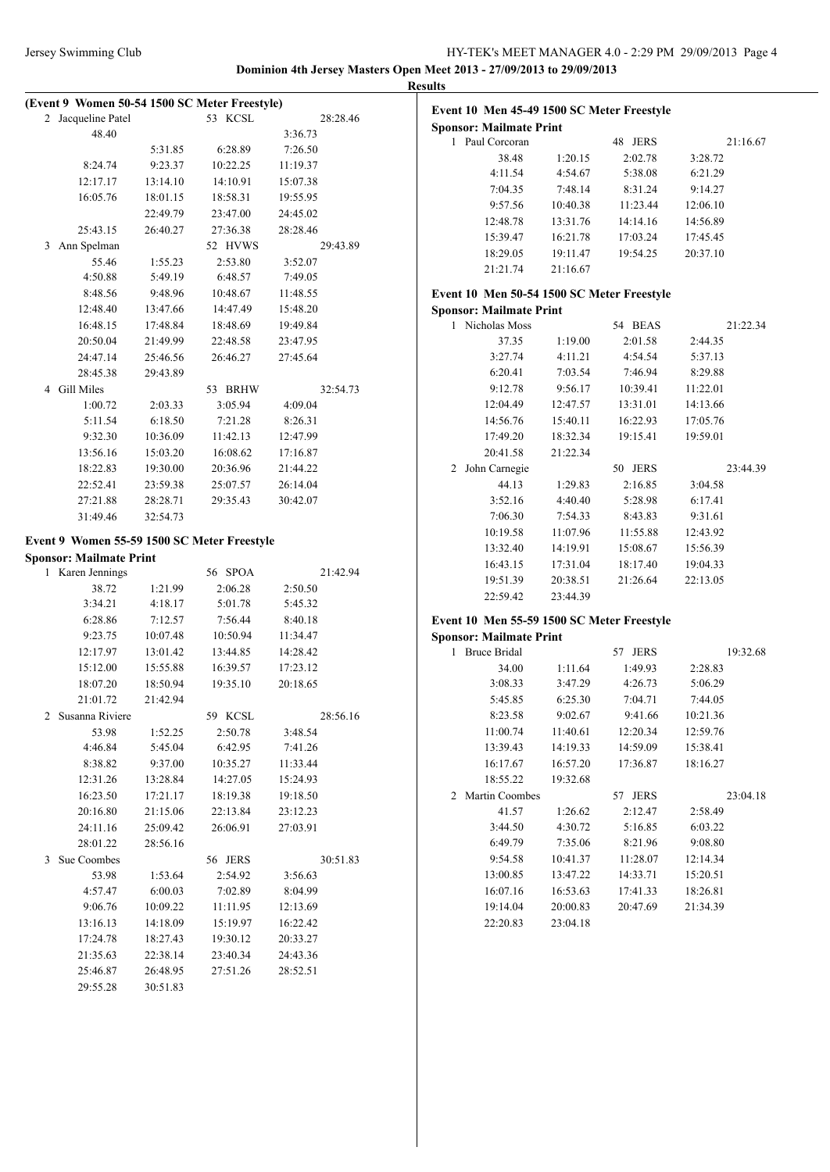| Jersey Swimming Club | HY-TEK's MEET MANAGER 4.0 - 2:29 PM 29/09/2013 Page 4                 |
|----------------------|-----------------------------------------------------------------------|
|                      | Dominion 4th Jersey Masters Open Meet 2013 - 27/09/2013 to 29/09/2013 |

**Event 10 Men 45-49 1500 SC Meter Freestyle**

|                | (Event 9 Women 50-54 1500 SC Meter Freestyle)<br>Jacqueline Patel |                      | 53 KCSL  | 28:28.46 |  |
|----------------|-------------------------------------------------------------------|----------------------|----------|----------|--|
| $\overline{2}$ | 48.40                                                             |                      |          | 3:36.73  |  |
|                |                                                                   | 5:31.85              | 6:28.89  | 7:26.50  |  |
|                | 8:24.74                                                           | 9:23.37              | 10:22.25 | 11:19.37 |  |
|                | 12:17.17                                                          | 13:14.10             | 14:10.91 | 15:07.38 |  |
|                | 16:05.76                                                          |                      | 18:58.31 | 19:55.95 |  |
|                |                                                                   | 18:01.15             |          |          |  |
|                |                                                                   | 22:49.79             | 23:47.00 | 24:45.02 |  |
|                | 25:43.15                                                          | 26:40.27             | 27:36.38 | 28:28.46 |  |
| 3              | Ann Spelman                                                       |                      | 52 HVWS  | 29:43.89 |  |
|                | 55.46                                                             | 1:55.23              | 2:53.80  | 3:52.07  |  |
|                | 4:50.88                                                           | 5:49.19              | 6:48.57  | 7:49.05  |  |
|                | 8:48.56                                                           | 9:48.96              | 10:48.67 | 11:48.55 |  |
|                | 12:48.40                                                          | 13:47.66             | 14:47.49 | 15:48.20 |  |
|                | 16:48.15                                                          | 17:48.84             | 18:48.69 | 19:49.84 |  |
|                | 20:50.04                                                          | 21:49.99             | 22:48.58 | 23:47.95 |  |
|                | 24:47.14                                                          | 25:46.56             | 26:46.27 | 27:45.64 |  |
|                | 28:45.38                                                          | 29:43.89             |          |          |  |
| 4              | <b>Gill Miles</b>                                                 |                      | 53 BRHW  | 32:54.73 |  |
|                | 1:00.72                                                           | 2:03.33              | 3:05.94  | 4:09.04  |  |
|                | 5:11.54                                                           | 6:18.50              | 7:21.28  | 8:26.31  |  |
|                | 9:32.30                                                           | 10:36.09             | 11:42.13 | 12:47.99 |  |
|                | 13:56.16                                                          | 15:03.20             | 16:08.62 | 17:16.87 |  |
|                | 18:22.83                                                          | 19:30.00             | 20:36.96 | 21:44.22 |  |
|                | 22:52.41                                                          | 23:59.38             | 25:07.57 | 26:14.04 |  |
|                | 27:21.88                                                          | 28:28.71             | 29:35.43 | 30:42.07 |  |
|                | 31:49.46                                                          | 32:54.73             |          |          |  |
|                | Event 9 Women 55-59 1500 SC Meter Freestyle                       |                      |          |          |  |
|                | <b>Sponsor: Mailmate Print</b>                                    |                      |          |          |  |
| 1              | Karen Jennings                                                    |                      | 56 SPOA  | 21:42.94 |  |
|                | 38.72                                                             | 1:21.99              | 2:06.28  | 2:50.50  |  |
|                | 3:34.21                                                           | 4:18.17              | 5:01.78  | 5:45.32  |  |
|                | 6:28.86                                                           | 7:12.57              | 7:56.44  | 8:40.18  |  |
|                | 9:23.75                                                           | 10:07.48             | 10:50.94 | 11:34.47 |  |
|                |                                                                   |                      |          |          |  |
|                |                                                                   |                      |          |          |  |
|                | 12:17.97                                                          | 13:01.42             | 13:44.85 | 14:28.42 |  |
|                | 15:12.00                                                          | 15:55.88             | 16:39.57 | 17:23.12 |  |
|                | 18:07.20                                                          | 18:50.94             | 19:35.10 | 20:18.65 |  |
|                | 21:01.72                                                          | 21:42.94             |          |          |  |
|                | Susanna Riviere                                                   |                      | 59 KCSL  | 28:56.16 |  |
|                | 53.98                                                             | 1:52.25              | 2:50.78  | 3:48.54  |  |
| 2              | 4:46.84                                                           | 5:45.04              | 6:42.95  | 7:41.26  |  |
|                | 8:38.82                                                           | 9:37.00              | 10:35.27 | 11:33.44 |  |
|                | 12:31.26                                                          | 13:28.84             | 14:27.05 | 15:24.93 |  |
|                | 16:23.50                                                          | 17:21.17             | 18:19.38 | 19:18.50 |  |
|                | 20:16.80                                                          | 21:15.06             | 22:13.84 | 23:12.23 |  |
|                | 24:11.16                                                          | 25:09.42             | 26:06.91 | 27:03.91 |  |
|                | 28:01.22                                                          | 28:56.16             |          |          |  |
| 3              | Sue Coombes                                                       |                      | 56 JERS  | 30:51.83 |  |
|                | 53.98                                                             | 1:53.64              | 2:54.92  | 3:56.63  |  |
|                | 4:57.47                                                           | 6:00.03              | 7:02.89  | 8:04.99  |  |
|                | 9:06.76                                                           | 10:09.22             | 11:11.95 | 12:13.69 |  |
|                | 13:16.13                                                          | 14:18.09             | 15:19.97 | 16:22.42 |  |
|                | 17:24.78                                                          | 18:27.43             | 19:30.12 | 20:33.27 |  |
|                | 21:35.63                                                          | 22:38.14             | 23:40.34 | 24:43.36 |  |
|                | 25:46.87<br>29:55.28                                              | 26:48.95<br>30:51.83 | 27:51.26 | 28:52.51 |  |

| <b>Sponsor: Mailmate Print</b>             |          |          |          |  |
|--------------------------------------------|----------|----------|----------|--|
| 1<br>Paul Corcoran                         |          | 48 JERS  | 21:16.67 |  |
| 38.48                                      | 1:20.15  | 2:02.78  | 3:28.72  |  |
| 4:11.54                                    | 4:54.67  | 5:38.08  | 6:21.29  |  |
| 7:04.35                                    | 7:48.14  | 8:31.24  | 9:14.27  |  |
| 9:57.56                                    | 10:40.38 | 11:23.44 | 12:06.10 |  |
| 12:48.78                                   | 13:31.76 | 14:14.16 | 14:56.89 |  |
| 15:39.47                                   | 16:21.78 | 17:03.24 | 17:45.45 |  |
| 18:29.05                                   | 19:11.47 | 19:54.25 | 20:37.10 |  |
| 21:21.74                                   | 21:16.67 |          |          |  |
| Event 10 Men 50-54 1500 SC Meter Freestyle |          |          |          |  |
| <b>Sponsor: Mailmate Print</b>             |          |          |          |  |
| 1<br>Nicholas Moss                         |          | 54 BEAS  | 21:22.34 |  |
| 37.35                                      | 1:19.00  | 2:01.58  | 2:44.35  |  |
| 3:27.74                                    | 4:11.21  | 4:54.54  | 5:37.13  |  |
| 6:20.41                                    | 7:03.54  | 7:46.94  | 8:29.88  |  |
| 9:12.78                                    | 9:56.17  | 10:39.41 | 11:22.01 |  |
| 12:04.49                                   | 12:47.57 | 13:31.01 | 14:13.66 |  |
| 14:56.76                                   | 15:40.11 | 16:22.93 | 17:05.76 |  |
| 17:49.20                                   | 18:32.34 | 19:15.41 | 19:59.01 |  |
| 20:41.58                                   | 21:22.34 |          |          |  |
| John Carnegie<br>2                         |          | 50 JERS  | 23:44.39 |  |
| 44.13                                      | 1:29.83  | 2:16.85  | 3:04.58  |  |
| 3:52.16                                    | 4:40.40  | 5:28.98  | 6:17.41  |  |
| 7:06.30                                    | 7:54.33  | 8:43.83  | 9:31.61  |  |
| 10:19.58                                   | 11:07.96 | 11:55.88 | 12:43.92 |  |
| 13:32.40                                   | 14:19.91 | 15:08.67 | 15:56.39 |  |
| 16:43.15                                   | 17:31.04 | 18:17.40 | 19:04.33 |  |
| 19:51.39                                   | 20:38.51 | 21:26.64 | 22:13.05 |  |
| 22:59.42                                   | 23:44.39 |          |          |  |
| Event 10 Men 55-59 1500 SC Meter Freestyle |          |          |          |  |
| <b>Sponsor: Mailmate Print</b>             |          |          |          |  |
| <b>Bruce Bridal</b><br>1                   |          | 57 JERS  | 19:32.68 |  |
| 34.00                                      | 1:11.64  | 1:49.93  | 2:28.83  |  |
| 3:08.33                                    | 3:47.29  | 4:26.73  | 5:06.29  |  |
| 5:45.85                                    | 6:25.30  | 7:04.71  | 7:44.05  |  |
| 8:23.58                                    | 9:02.67  | 9:41.66  | 10:21.36 |  |
| 11:00.74                                   | 11:40.61 | 12:20.34 | 12:59.76 |  |
| 13:39.43                                   | 14:19.33 | 14:59.09 | 15:38.41 |  |
| 16:17.67                                   | 16:57.20 | 17:36.87 | 18:16.27 |  |

| 16:17.67         | 16:57.20 | 17:36.87          | 18:16.27 |  |
|------------------|----------|-------------------|----------|--|
| 18:55.22         | 19:32.68 |                   |          |  |
| 2 Martin Coombes |          | <b>JERS</b><br>57 | 23:04.18 |  |
| 41.57            | 1:26.62  | 2:12.47           | 2:58.49  |  |
| 3:44.50          | 4:30.72  | 5:16.85           | 6:03.22  |  |
| 6:49.79          | 7:35.06  | 8:21.96           | 9:08.80  |  |
| 9:54.58          | 10:41.37 | 11:28.07          | 12:14.34 |  |
| 13:00.85         | 13:47.22 | 14:33.71          | 15:20.51 |  |
| 16:07.16         | 16:53.63 | 17:41.33          | 18:26.81 |  |
| 19:14.04         | 20:00.83 | 20:47.69          | 21:34.39 |  |
| 22:20.83         | 23:04.18 |                   |          |  |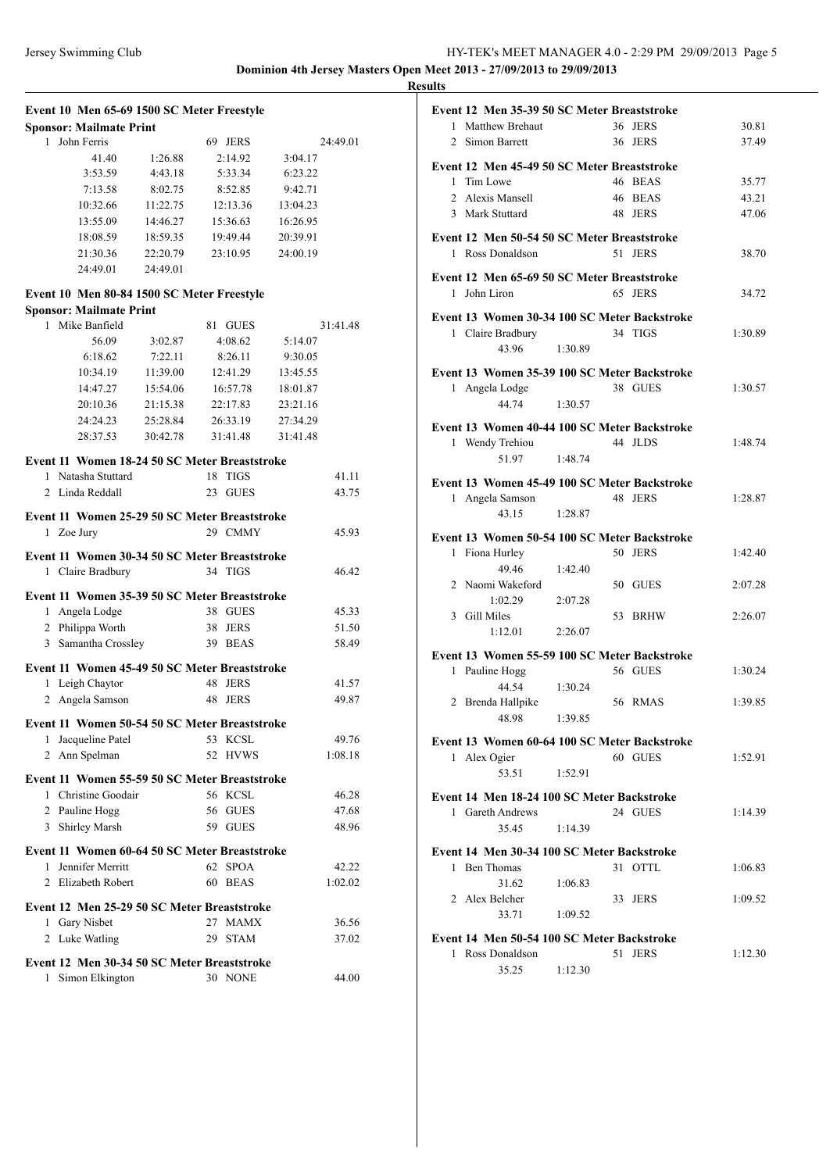|                |                                               |          | Event 10 Men 65-69 1500 SC Meter Freestyle |          |  |
|----------------|-----------------------------------------------|----------|--------------------------------------------|----------|--|
|                | <b>Sponsor: Mailmate Print</b>                |          |                                            |          |  |
| 1              | John Ferris                                   |          | 69 JERS                                    | 24:49.01 |  |
|                | 41.40                                         | 1:26.88  | 2:14.92                                    | 3:04.17  |  |
|                | 3:53.59                                       | 4:43.18  | 5:33.34                                    | 6:23.22  |  |
|                | 7:13.58                                       | 8:02.75  | 8:52.85                                    | 9:42.71  |  |
|                | 10:32.66                                      | 11:22.75 | 12:13.36                                   | 13:04.23 |  |
|                | 13:55.09                                      | 14:46.27 | 15:36.63                                   | 16:26.95 |  |
|                | 18:08.59                                      | 18:59.35 | 19:49.44                                   | 20:39.91 |  |
|                | 21:30.36                                      | 22:20.79 | 23:10.95                                   | 24:00.19 |  |
|                | 24:49.01                                      | 24:49.01 |                                            |          |  |
|                | Event 10 Men 80-84 1500 SC Meter Freestyle    |          |                                            |          |  |
|                | <b>Sponsor: Mailmate Print</b>                |          |                                            |          |  |
| 1              | Mike Banfield                                 |          | 81<br><b>GUES</b>                          | 31:41.48 |  |
|                | 56.09                                         | 3:02.87  | 4:08.62                                    | 5:14.07  |  |
|                | 6:18.62                                       | 7:22.11  | 8:26.11                                    | 9:30.05  |  |
|                | 10:34.19                                      | 11:39.00 | 12:41.29                                   | 13:45.55 |  |
|                | 14:47.27                                      | 15:54.06 | 16:57.78                                   | 18:01.87 |  |
|                | 20:10.36                                      | 21:15.38 |                                            |          |  |
|                |                                               |          | 22:17.83                                   | 23:21.16 |  |
|                | 24:24.23                                      | 25:28.84 | 26:33.19                                   | 27:34.29 |  |
|                | 28:37.53                                      | 30:42.78 | 31:41.48                                   | 31:41.48 |  |
|                | Event 11 Women 18-24 50 SC Meter Breaststroke |          |                                            |          |  |
| 1              | Natasha Stuttard                              |          | 18<br><b>TIGS</b>                          | 41.11    |  |
| 2              | Linda Reddall                                 |          | <b>GUES</b><br>23                          | 43.75    |  |
|                |                                               |          |                                            |          |  |
| 1              | Event 11 Women 25-29 50 SC Meter Breaststroke |          | 29 CMMY                                    | 45.93    |  |
|                | Zoe Jury                                      |          |                                            |          |  |
|                |                                               |          |                                            |          |  |
|                | Event 11 Women 30-34 50 SC Meter Breaststroke |          |                                            |          |  |
| 1              | Claire Bradbury                               |          | 34 TIGS                                    | 46.42    |  |
|                |                                               |          |                                            |          |  |
|                | Event 11 Women 35-39 50 SC Meter Breaststroke |          |                                            |          |  |
| 1              | Angela Lodge                                  |          | 38 GUES                                    | 45.33    |  |
|                | 2 Philippa Worth                              |          | 38<br><b>JERS</b>                          | 51.50    |  |
|                | 3 Samantha Crossley                           |          | <b>BEAS</b><br>39                          | 58.49    |  |
|                | Event 11 Women 45-49 50 SC Meter Breaststroke |          |                                            |          |  |
| 1              | Leigh Chaytor                                 |          | 48<br><b>JERS</b>                          | 41.57    |  |
| 2              | Angela Samson                                 |          | 48<br><b>JERS</b>                          | 49.87    |  |
|                |                                               |          |                                            |          |  |
|                | Event 11 Women 50-54 50 SC Meter Breaststroke |          |                                            |          |  |
| 1              | Jacqueline Patel                              |          | 53 KCSL                                    | 49.76    |  |
|                | 2 Ann Spelman                                 |          | 52 HVWS                                    | 1:08.18  |  |
|                | Event 11 Women 55-59 50 SC Meter Breaststroke |          |                                            |          |  |
| 1              | Christine Goodair                             |          | 56 KCSL                                    | 46.28    |  |
|                | 2 Pauline Hogg                                |          | <b>GUES</b><br>56                          | 47.68    |  |
|                | 3 Shirley Marsh                               |          | 59<br><b>GUES</b>                          | 48.96    |  |
|                |                                               |          |                                            |          |  |
| 1              | Event 11 Women 60-64 50 SC Meter Breaststroke |          | <b>SPOA</b><br>62                          | 42.22    |  |
| $\overline{c}$ | Jennifer Merritt<br>Elizabeth Robert          |          | <b>BEAS</b><br>60                          | 1:02.02  |  |
|                |                                               |          |                                            |          |  |
|                | Event 12 Men 25-29 50 SC Meter Breaststroke   |          |                                            |          |  |
|                | 1 Gary Nisbet                                 |          | 27 MAMX                                    | 36.56    |  |
| 2              | Luke Watling                                  |          | 29<br><b>STAM</b>                          | 37.02    |  |
|                | Event 12 Men 30-34 50 SC Meter Breaststroke   |          |                                            |          |  |
| 1              | Simon Elkington                               |          | 30 NONE                                    | 44.00    |  |

| Event 12 Men 35-39 50 SC Meter Breaststroke  |         |    |             |         |
|----------------------------------------------|---------|----|-------------|---------|
| 1 Matthew Brehaut                            |         |    | 36 JERS     | 30.81   |
| $\overline{2}$<br>Simon Barrett              |         |    | 36 JERS     | 37.49   |
|                                              |         |    |             |         |
| Event 12 Men 45-49 50 SC Meter Breaststroke  |         |    |             |         |
| Tim Lowe<br>1                                |         |    | 46 BEAS     | 35.77   |
| $\overline{2}$<br>Alexis Mansell             |         |    | 46 BEAS     | 43.21   |
| 3 Mark Stuttard                              |         |    | 48 JERS     | 47.06   |
|                                              |         |    |             |         |
| Event 12 Men 50-54 50 SC Meter Breaststroke  |         |    |             |         |
| 1 Ross Donaldson                             |         | 51 | <b>JERS</b> | 38.70   |
|                                              |         |    |             |         |
| Event 12 Men 65-69 50 SC Meter Breaststroke  |         |    |             |         |
| John Liron<br>$\mathbf{1}$                   |         |    | 65 JERS     | 34.72   |
| Event 13 Women 30-34 100 SC Meter Backstroke |         |    |             |         |
| 1 Claire Bradbury                            |         |    | 34 TIGS     | 1:30.89 |
| 43.96                                        | 1:30.89 |    |             |         |
|                                              |         |    |             |         |
| Event 13 Women 35-39 100 SC Meter Backstroke |         |    |             |         |
| 1 Angela Lodge                               |         |    | 38 GUES     | 1:30.57 |
| 44.74                                        | 1:30.57 |    |             |         |
|                                              |         |    |             |         |
| Event 13 Women 40-44 100 SC Meter Backstroke |         |    |             |         |
| 1 Wendy Trehiou                              |         |    | 44 JLDS     | 1:48.74 |
| 51.97                                        | 1:48.74 |    |             |         |
|                                              |         |    |             |         |
| Event 13 Women 45-49 100 SC Meter Backstroke |         |    |             |         |
| 1 Angela Samson                              |         |    | 48 JERS     | 1:28.87 |
| 43.15                                        | 1:28.87 |    |             |         |
|                                              |         |    |             |         |
| Event 13 Women 50-54 100 SC Meter Backstroke |         |    |             |         |
| Fiona Hurley<br>1                            |         |    | 50 JERS     | 1:42.40 |
| 49.46                                        | 1:42.40 |    |             |         |
| 2 Naomi Wakeford                             |         |    | 50 GUES     | 2:07.28 |
| 1:02.29                                      | 2:07.28 |    |             |         |
| 3 Gill Miles                                 |         |    | 53 BRHW     | 2:26.07 |
| 1:12.01                                      | 2:26.07 |    |             |         |
|                                              |         |    |             |         |
| Event 13 Women 55-59 100 SC Meter Backstroke |         |    |             |         |
| 1 Pauline Hogg                               |         |    | 56 GUES     | 1:30.24 |
| 44.54                                        | 1:30.24 |    |             |         |
| 2 Brenda Hallpike                            |         |    | 56 RMAS     | 1:39.85 |
| 48.98                                        | 1:39.85 |    |             |         |
|                                              |         |    |             |         |
| Event 13 Women 60-64 100 SC Meter Backstroke |         |    |             |         |
| Alex Ogier<br>1                              |         |    | 60 GUES     | 1:52.91 |
| 53.51                                        | 1:52.91 |    |             |         |
| Event 14 Men 18-24 100 SC Meter Backstroke   |         |    |             |         |
|                                              |         |    | 24 GUES     |         |
| 1 Gareth Andrews                             |         |    |             | 1:14.39 |
| 35.45                                        | 1:14.39 |    |             |         |
| Event 14 Men 30-34 100 SC Meter Backstroke   |         |    |             |         |
| <b>Ben</b> Thomas<br>1                       |         |    | 31 OTTL     | 1:06.83 |
| 31.62                                        | 1:06.83 |    |             |         |
|                                              |         |    |             |         |
| 2 Alex Belcher                               |         |    | 33 JERS     | 1:09.52 |
| 33.71                                        | 1:09.52 |    |             |         |
| Event 14 Men 50-54 100 SC Meter Backstroke   |         |    |             |         |
| 1 Ross Donaldson                             |         |    | 51 JERS     | 1:12.30 |
| 35.25                                        | 1:12.30 |    |             |         |
|                                              |         |    |             |         |
|                                              |         |    |             |         |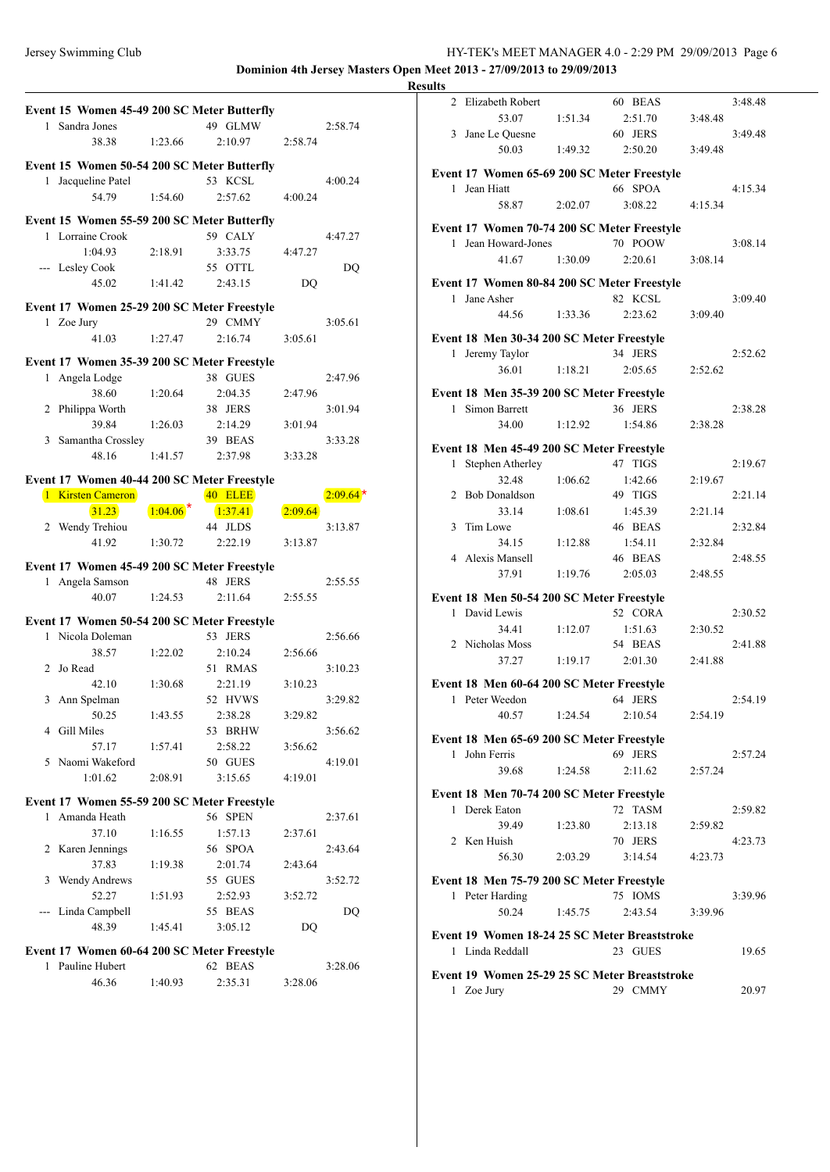## Jersey Swimming Club HY-TEK's MEET MANAGER 4.0 - 2:29 PM 29/09/2013 Page 6 **Dominion 4th Jersey Masters Open Meet 2013 - 27/09/2013 to 29/09/2013**

**Event 15 Women 45-49 200 SC Meter Butterfly** 1 Sandra Jones 49 GLMW 2:58.74 38.38 1:23.66 2:10.97 2:58.74 **Event 15 Women 50-54 200 SC Meter Butterfly** 1 Jacqueline Patel 53 KCSL 4:00.24 54.79 1:54.60 2:57.62 4:00.24 **Event 15 Women 55-59 200 SC Meter Butterfly** 1 Lorraine Crook 59 CALY 4:47.27 1:04.93 2:18.91 3:33.75 4:47.27 --- Lesley Cook 55 OTTL DQ 45.02 1:41.42 2:43.15 DQ **Event 17 Women 25-29 200 SC Meter Freestyle** 1 Zoe Jury 29 CMMY 3:05.61 41.03 1:27.47 2:16.74 3:05.61 **Event 17 Women 35-39 200 SC Meter Freestyle** 1 Angela Lodge 38 GUES 2:47.96 38.60 1:20.64 2:04.35 2:47.96 2 Philippa Worth 38 JERS 3:01.94 39.84 1:26.03 2:14.29 3:01.94 3 Samantha Crossley 39 BEAS 3:33.28 48.16 1:41.57 2:37.98 3:33.28 **Event 17 Women 40-44 200 SC Meter Freestyle** 1 Kirsten Cameron **40 ELEE**  $\begin{array}{|c|c|c|c|c|c|c|c|}\n\hline\n31.23 & 1:04.06 & 1:37.41 & 2:09.64\n\hline\n\end{array}$ 2 Wendy Trehiou 44 JLDS 3:13.87 41.92 1:30.72 2:22.19 3:13.87 **Event 17 Women 45-49 200 SC Meter Freestyle** 1 Angela Samson 48 JERS 2:55.55 40.07 1:24.53 2:11.64 2:55.55 **Event 17 Women 50-54 200 SC Meter Freestyle** 1 Nicola Doleman 53 JERS 2:56.66 38.57 1:22.02 2:10.24 2:56.66 2 Jo Read 51 RMAS 3:10.23 42.10 1:30.68 2:21.19 3:10.23 3 Ann Spelman 52 HVWS 3:29.82 50.25 1:43.55 2:38.28 3:29.82 4 Gill Miles 53 BRHW 3:56.62 57.17 1:57.41 2:58.22 3:56.62 5 Naomi Wakeford 50 GUES 4:19.01 1:01.62 2:08.91 3:15.65 4:19.01 **Event 17 Women 55-59 200 SC Meter Freestyle** 1 Amanda Heath 56 SPEN 2:37.61 37.10 1:16.55 1:57.13 2:37.61 2 Karen Jennings 56 SPOA 2:43.64 37.83 1:19.38 2:01.74 2:43.64 3 Wendy Andrews 55 GUES 3:52.72 52.27 1:51.93 2:52.93 3:52.72 --- Linda Campbell 55 BEAS DQ 48.39 1:45.41 3:05.12 DQ **Event 17 Women 60-64 200 SC Meter Freestyle** 1 Pauline Hubert 62 BEAS 3:28.06 46.36 1:40.93 2:35.31 3:28.06  $2:09.64$ \*

| <b>Results</b> |                                               |         |         |         |         |
|----------------|-----------------------------------------------|---------|---------|---------|---------|
|                | 2 Elizabeth Robert                            |         | 60 BEAS |         | 3:48.48 |
|                | 53.07                                         | 1:51.34 | 2:51.70 | 3:48.48 |         |
|                | 3 Jane Le Quesne                              |         | 60 JERS |         | 3:49.48 |
|                | 50.03                                         | 1:49.32 | 2:50.20 | 3:49.48 |         |
|                |                                               |         |         |         |         |
|                | Event 17 Women 65-69 200 SC Meter Freestyle   |         |         |         |         |
|                | 1 Jean Hiatt                                  |         | 66 SPOA |         | 4:15.34 |
|                | 58.87                                         | 2:02.07 | 3:08.22 | 4:15.34 |         |
|                | Event 17 Women 70-74 200 SC Meter Freestyle   |         |         |         |         |
|                | 1 Jean Howard-Jones                           |         | 70 POOW |         | 3:08.14 |
|                | 41.67                                         | 1:30.09 | 2:20.61 | 3:08.14 |         |
|                |                                               |         |         |         |         |
|                | Event 17 Women 80-84 200 SC Meter Freestyle   |         |         |         |         |
| 1.             | Jane Asher                                    |         | 82 KCSL |         | 3:09.40 |
|                | 44.56                                         | 1:33.36 | 2:23.62 | 3:09.40 |         |
|                | Event 18 Men 30-34 200 SC Meter Freestyle     |         |         |         |         |
|                | 1 Jeremy Taylor                               |         | 34 JERS |         | 2:52.62 |
|                | 36.01                                         | 1:18.21 | 2:05.65 | 2:52.62 |         |
|                |                                               |         |         |         |         |
|                | Event 18 Men 35-39 200 SC Meter Freestyle     |         |         |         |         |
| $\mathbf{1}$   | Simon Barrett                                 |         | 36 JERS |         | 2:38.28 |
|                | 34.00                                         | 1:12.92 | 1:54.86 | 2:38.28 |         |
|                | Event 18 Men 45-49 200 SC Meter Freestyle     |         |         |         |         |
| $\mathbf{1}$   | Stephen Atherley                              |         | 47 TIGS |         | 2:19.67 |
|                | 32.48                                         | 1:06.62 | 1:42.66 | 2:19.67 |         |
|                | 2 Bob Donaldson                               |         | 49 TIGS |         | 2:21.14 |
|                | 33.14                                         | 1:08.61 | 1:45.39 | 2:21.14 |         |
| $\mathbf{3}$   | Tim Lowe                                      |         | 46 BEAS |         | 2:32.84 |
|                | 34.15                                         | 1:12.88 | 1:54.11 | 2:32.84 |         |
|                | 4 Alexis Mansell                              |         | 46 BEAS |         | 2:48.55 |
|                | 37.91                                         | 1:19.76 | 2:05.03 | 2:48.55 |         |
|                |                                               |         |         |         |         |
|                | Event 18 Men 50-54 200 SC Meter Freestyle     |         |         |         |         |
|                | 1 David Lewis                                 |         | 52 CORA |         | 2:30.52 |
|                | 34.41                                         | 1:12.07 | 1:51.63 | 2:30.52 |         |
|                | 2 Nicholas Moss                               |         | 54 BEAS |         | 2:41.88 |
|                | 37.27                                         | 1:19.17 | 2:01.30 | 2:41.88 |         |
|                | Event 18 Men 60-64 200 SC Meter Freestyle     |         |         |         |         |
| 1              | Peter Weedon                                  |         | 64 JERS |         | 2:54.19 |
|                | 40.57                                         | 1:24.54 | 2:10.54 | 2:54.19 |         |
|                |                                               |         |         |         |         |
|                | Event 18 Men 65-69 200 SC Meter Freestyle     |         |         |         |         |
|                | 1 John Ferris                                 |         | 69 JERS |         | 2:57.24 |
|                | 39.68                                         | 1:24.58 | 2:11.62 | 2:57.24 |         |
|                | Event 18 Men 70-74 200 SC Meter Freestyle     |         |         |         |         |
|                | 1 Derek Eaton                                 |         | 72 TASM |         | 2:59.82 |
|                | 39.49                                         | 1:23.80 | 2:13.18 | 2:59.82 |         |
|                | 2 Ken Huish                                   |         | 70 JERS |         | 4:23.73 |
|                | 56.30                                         | 2:03.29 | 3:14.54 | 4:23.73 |         |
|                |                                               |         |         |         |         |
|                | Event 18 Men 75-79 200 SC Meter Freestyle     |         |         |         |         |
|                | 1 Peter Harding                               |         | 75 IOMS |         | 3:39.96 |
|                | 50.24                                         | 1:45.75 | 2:43.54 | 3:39.96 |         |
|                | Event 19 Women 18-24 25 SC Meter Breaststroke |         |         |         |         |
|                | 1 Linda Reddall                               |         | 23 GUES |         | 19.65   |
|                |                                               |         |         |         |         |
|                | Event 19 Women 25-29 25 SC Meter Breaststroke |         |         |         |         |
|                | 1 Zoe Jury                                    |         | 29 CMMY |         | 20.97   |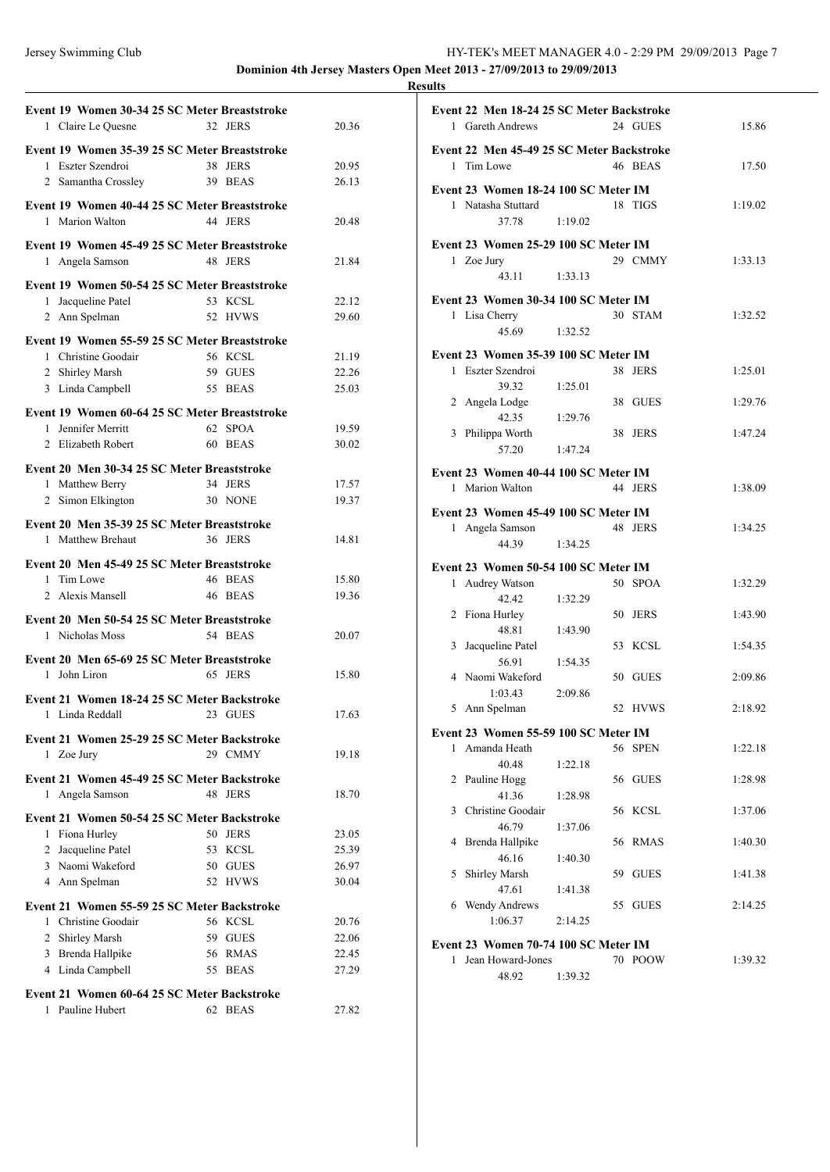### Jersey Swimming Club HY-TEK's MEET MANAGER 4.0 - 2:29 PM 29/09/2013 Page 7 **Dominion 4th Jersey Masters Open Meet 2013 - 27/09/2013 to 29/09/2013**

|                | Event 19 Women 30-34 25 SC Meter Breaststroke |                    |                |
|----------------|-----------------------------------------------|--------------------|----------------|
|                | 1 Claire Le Quesne                            | 32 JERS            | 20.36          |
|                |                                               |                    |                |
|                | Event 19 Women 35-39 25 SC Meter Breaststroke |                    |                |
|                | 1 Eszter Szendroi                             | 38 JERS            | 20.95          |
|                | 2 Samantha Crossley                           | 39 BEAS            | 26.13          |
|                | Event 19 Women 40-44 25 SC Meter Breaststroke |                    |                |
|                | 1 Marion Walton                               | 44 JERS            | 20.48          |
|                | Event 19 Women 45-49 25 SC Meter Breaststroke |                    |                |
|                | 1 Angela Samson                               | 48 JERS            | 21.84          |
|                |                                               |                    |                |
|                | Event 19 Women 50-54 25 SC Meter Breaststroke |                    |                |
|                | 1 Jacqueline Patel                            | 53 KCSL            | 22.12          |
|                | 2 Ann Spelman                                 | 52 HVWS            | 29.60          |
|                | Event 19 Women 55-59 25 SC Meter Breaststroke |                    |                |
|                | 1 Christine Goodair                           | 56 KCSL            | 21.19          |
|                | 2 Shirley Marsh                               | 59 GUES            | 22.26          |
|                | 3 Linda Campbell                              | 55 BEAS            | 25.03          |
|                | Event 19 Women 60-64 25 SC Meter Breaststroke |                    |                |
|                | 1 Jennifer Merritt                            | 62 SPOA            | 19.59          |
|                | 2 Elizabeth Robert                            | 60 BEAS            | 30.02          |
|                |                                               |                    |                |
|                | Event 20 Men 30-34 25 SC Meter Breaststroke   |                    |                |
|                | 1 Matthew Berry<br>34 JERS                    |                    | 17.57          |
| 2              | Simon Elkington                               | 30 NONE            | 19.37          |
|                | Event 20 Men 35-39 25 SC Meter Breaststroke   |                    |                |
|                | 1 Matthew Brehaut                             | 36 JERS            | 14.81          |
|                |                                               |                    |                |
|                | Event 20 Men 45-49 25 SC Meter Breaststroke   |                    |                |
|                | 1 Tim Lowe                                    | 46 BEAS            | 15.80          |
|                | 2 Alexis Mansell                              | 46 BEAS            | 19.36          |
|                | Event 20 Men 50-54 25 SC Meter Breaststroke   |                    |                |
|                | 1 Nicholas Moss                               | 54 BEAS            | 20.07          |
|                | Event 20 Men 65-69 25 SC Meter Breaststroke   |                    |                |
| 1.             | John Liron                                    | 65 JERS            | 15.80          |
|                |                                               |                    |                |
|                | Event 21 Women 18-24 25 SC Meter Backstroke   |                    |                |
|                | 1 Linda Reddall                               | 23 GUES            | 17.63          |
|                | Event 21 Women 25-29 25 SC Meter Backstroke   |                    |                |
|                | 1 Zoe Jury                                    | 29 CMMY            | 19.18          |
|                |                                               |                    |                |
|                | Event 21 Women 45-49 25 SC Meter Backstroke   |                    |                |
| 1              | Angela Samson                                 | 48 JERS            | 18.70          |
|                | Event 21 Women 50-54 25 SC Meter Backstroke   |                    |                |
| 1              | Fiona Hurley                                  | 50 JERS            | 23.05          |
| $\mathbf{2}$   | Jacqueline Patel                              | 53 KCSL            | 25.39          |
|                | 3 Naomi Wakeford                              | 50 GUES            | 26.97          |
|                | 4 Ann Spelman                                 | 52 HVWS            | 30.04          |
|                | Event 21 Women 55-59 25 SC Meter Backstroke   |                    |                |
|                | 1 Christine Goodair                           | 56 KCSL            | 20.76          |
| $\overline{2}$ |                                               | 59 GUES            |                |
|                |                                               |                    |                |
| 3              | Shirley Marsh                                 |                    | 22.06          |
|                | Brenda Hallpike                               | 56 RMAS<br>55 BEAS | 22.45<br>27.29 |
|                | 4 Linda Campbell                              |                    |                |
|                | Event 21 Women 60-64 25 SC Meter Backstroke   |                    |                |
| 1              | Pauline Hubert                                | 62 BEAS            | 27.82          |

|              | Event 22 Men 18-24 25 SC Meter Backstroke                 |         |    |             |         |
|--------------|-----------------------------------------------------------|---------|----|-------------|---------|
|              | 1 Gareth Andrews                                          |         |    | 24 GUES     | 15.86   |
|              | Event 22 Men 45-49 25 SC Meter Backstroke                 |         |    |             |         |
|              | 1 Tim Lowe                                                |         |    | 46 BEAS     | 17.50   |
|              | Event 23 Women 18-24 100 SC Meter IM                      |         |    |             |         |
|              | 1 Natasha Stuttard                                        |         |    | 18 TIGS     | 1:19.02 |
|              | 37.78                                                     | 1:19.02 |    |             |         |
|              |                                                           |         |    |             |         |
|              | Event 23 Women 25-29 100 SC Meter IM<br>1 Zoe Jury        |         |    | 29 CMMY     | 1:33.13 |
|              | 43.11                                                     | 1:33.13 |    |             |         |
|              |                                                           |         |    |             |         |
|              | Event 23 Women 30-34 100 SC Meter IM                      |         |    |             |         |
|              | 1 Lisa Cherry<br>45.69                                    |         |    | 30 STAM     | 1:32.52 |
|              |                                                           | 1:32.52 |    |             |         |
|              | Event 23 Women 35-39 100 SC Meter IM                      |         |    |             |         |
| $\mathbf{1}$ | Eszter Szendroi                                           |         |    | 38 JERS     | 1:25.01 |
|              | 39.32                                                     | 1:25.01 |    |             |         |
|              | 2 Angela Lodge<br>42.35                                   |         |    | 38 GUES     | 1:29.76 |
|              | 3 Philippa Worth                                          | 1:29.76 |    | 38 JERS     | 1:47.24 |
|              | 57.20                                                     | 1:47.24 |    |             |         |
|              |                                                           |         |    |             |         |
|              | Event 23 Women 40-44 100 SC Meter IM                      |         |    |             |         |
| $\mathbf{1}$ | Marion Walton                                             |         |    | 44 JERS     | 1:38.09 |
|              | Event 23 Women 45-49 100 SC Meter IM                      |         |    |             |         |
|              | 1 Angela Samson                                           |         |    | 48 JERS     | 1:34.25 |
|              | 44.39                                                     | 1:34.25 |    |             |         |
|              |                                                           |         |    |             |         |
|              |                                                           |         |    |             |         |
|              | Event 23 Women 50-54 100 SC Meter IM<br>1 Audrey Watson   |         |    | 50 SPOA     | 1:32.29 |
|              | 42.42                                                     | 1:32.29 |    |             |         |
|              | 2 Fiona Hurley                                            |         |    | 50 JERS     | 1:43.90 |
|              | 48.81                                                     | 1:43.90 |    |             |         |
| 3            | Jacqueline Patel                                          |         |    | 53 KCSL     | 1:54.35 |
|              | 56.91                                                     | 1:54.35 |    |             |         |
|              | 4 Naomi Wakeford                                          |         |    | 50 GUES     | 2:09.86 |
|              | 1:03.43                                                   | 2:09.86 |    |             |         |
|              | 5 Ann Spelman                                             |         |    | 52 HVWS     | 2:18.92 |
|              | Event 23 Women 55-59 100 SC Meter IM                      |         |    |             |         |
| $\mathbf{1}$ | Amanda Heath                                              |         |    | 56 SPEN     | 1:22.18 |
|              | 40.48                                                     | 1:22.18 |    |             |         |
| 2            | Pauline Hogg                                              |         |    | 56 GUES     | 1:28.98 |
|              | 41.36                                                     | 1:28.98 |    |             |         |
|              | 3 Christine Goodair                                       |         |    | 56 KCSL     | 1:37.06 |
|              | 46.79                                                     | 1:37.06 |    |             |         |
| 4            | Brenda Hallpike<br>46.16                                  |         | 56 | RMAS        | 1:40.30 |
| 5            | Shirley Marsh                                             | 1:40.30 | 59 | <b>GUES</b> | 1:41.38 |
|              | 47.61                                                     | 1:41.38 |    |             |         |
|              | 6 Wendy Andrews                                           |         | 55 | <b>GUES</b> | 2:14.25 |
|              | 1:06.37                                                   | 2:14.25 |    |             |         |
|              |                                                           |         |    |             |         |
| $\mathbf{1}$ | Event 23 Women 70-74 100 SC Meter IM<br>Jean Howard-Jones |         |    | 70 POOW     | 1:39.32 |
|              | 48.92                                                     | 1:39.32 |    |             |         |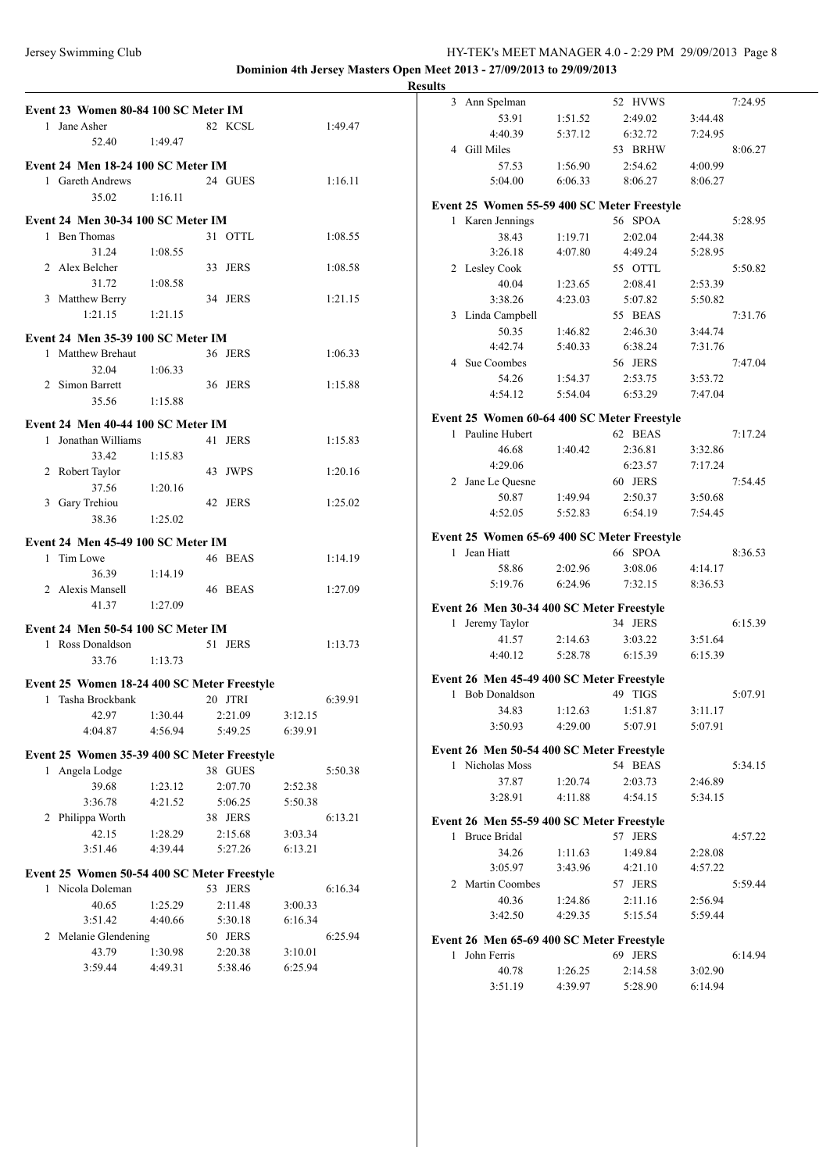# Jersey Swimming Club HY-TEK's MEET MANAGER 4.0 - 2:29 PM 29/09/2013 Page 8 **Dominion 4th Jersey Masters Open Meet 2013 - 27/09/2013 to 29/09/2013**

| Event 23 Women 80-84 100 SC Meter IM        |         |         |         |         | 3 Ann Spelman                               |         | 52 HVWS |         | 7:24.95 |
|---------------------------------------------|---------|---------|---------|---------|---------------------------------------------|---------|---------|---------|---------|
| 1 Jane Asher                                |         | 82 KCSL |         | 1:49.47 | 53.91                                       | 1:51.52 | 2:49.02 | 3:44.48 |         |
|                                             |         |         |         |         | 4:40.39                                     | 5:37.12 | 6:32.72 | 7:24.95 |         |
| 52.40                                       | 1:49.47 |         |         |         | 4 Gill Miles                                |         | 53 BRHW |         | 8:06.27 |
| Event 24 Men 18-24 100 SC Meter IM          |         |         |         |         | 57.53                                       | 1:56.90 | 2:54.62 | 4:00.99 |         |
| 1 Gareth Andrews                            |         | 24 GUES |         | 1:16.11 | 5:04.00                                     | 6:06.33 | 8:06.27 | 8:06.27 |         |
| 35.02                                       | 1:16.11 |         |         |         |                                             |         |         |         |         |
|                                             |         |         |         |         | Event 25 Women 55-59 400 SC Meter Freestyle |         |         |         |         |
| Event 24 Men 30-34 100 SC Meter IM          |         |         |         |         | 1 Karen Jennings                            |         | 56 SPOA |         | 5:28.95 |
| 1 Ben Thomas                                |         | 31 OTTL |         | 1:08.55 | 38.43                                       | 1:19.71 | 2:02.04 | 2:44.38 |         |
| 31.24                                       | 1:08.55 |         |         |         | 3:26.18                                     | 4:07.80 | 4:49.24 | 5:28.95 |         |
| 2 Alex Belcher                              |         | 33 JERS |         | 1:08.58 | 2 Lesley Cook                               |         | 55 OTTL |         | 5:50.82 |
| 31.72                                       | 1:08.58 |         |         |         | 40.04                                       | 1:23.65 | 2:08.41 | 2:53.39 |         |
| 3 Matthew Berry                             |         | 34 JERS |         | 1:21.15 | 3:38.26                                     | 4:23.03 | 5:07.82 | 5:50.82 |         |
| 1:21.15                                     | 1:21.15 |         |         |         | 3 Linda Campbell                            |         | 55 BEAS |         | 7:31.76 |
|                                             |         |         |         |         | 50.35                                       | 1:46.82 | 2:46.30 | 3:44.74 |         |
| Event 24 Men 35-39 100 SC Meter IM          |         |         |         |         | 4:42.74                                     | 5:40.33 | 6:38.24 | 7:31.76 |         |
| 1 Matthew Brehaut                           |         | 36 JERS |         | 1:06.33 | 4 Sue Coombes                               |         | 56 JERS |         | 7:47.04 |
| 32.04                                       | 1:06.33 |         |         |         | 54.26                                       | 1:54.37 | 2:53.75 | 3:53.72 |         |
| 2 Simon Barrett                             |         | 36 JERS |         | 1:15.88 | 4:54.12                                     | 5:54.04 | 6:53.29 | 7:47.04 |         |
| 35.56                                       | 1:15.88 |         |         |         |                                             |         |         |         |         |
| Event 24 Men 40-44 100 SC Meter IM          |         |         |         |         | Event 25 Women 60-64 400 SC Meter Freestyle |         |         |         |         |
| 1 Jonathan Williams                         |         | 41 JERS |         | 1:15.83 | 1 Pauline Hubert                            |         | 62 BEAS |         | 7:17.24 |
| 33.42                                       | 1:15.83 |         |         |         | 46.68                                       | 1:40.42 | 2:36.81 | 3:32.86 |         |
| 2 Robert Taylor                             |         | 43 JWPS |         | 1:20.16 | 4:29.06                                     |         | 6:23.57 | 7:17.24 |         |
| 37.56                                       | 1:20.16 |         |         |         | 2 Jane Le Ouesne                            |         | 60 JERS |         | 7:54.45 |
| 3 Gary Trehiou                              |         | 42 JERS |         |         | 50.87                                       | 1:49.94 | 2:50.37 | 3:50.68 |         |
|                                             |         |         |         | 1:25.02 | 4:52.05                                     | 5:52.83 | 6:54.19 | 7:54.45 |         |
| 38.36                                       | 1:25.02 |         |         |         |                                             |         |         |         |         |
| Event 24 Men 45-49 100 SC Meter IM          |         |         |         |         | Event 25 Women 65-69 400 SC Meter Freestyle |         |         |         |         |
| 1 Tim Lowe                                  |         | 46 BEAS |         | 1:14.19 | 1 Jean Hiatt                                |         | 66 SPOA |         | 8:36.53 |
| 36.39                                       | 1:14.19 |         |         |         | 58.86                                       | 2:02.96 | 3:08.06 | 4:14.17 |         |
| 2 Alexis Mansell                            |         | 46 BEAS |         | 1:27.09 | 5:19.76                                     | 6:24.96 | 7:32.15 | 8:36.53 |         |
| 41.37                                       | 1:27.09 |         |         |         | Event 26 Men 30-34 400 SC Meter Freestyle   |         |         |         |         |
|                                             |         |         |         |         | 1 Jeremy Taylor                             |         | 34 JERS |         | 6:15.39 |
| Event 24 Men 50-54 100 SC Meter IM          |         |         |         |         | 41.57                                       | 2:14.63 | 3:03.22 | 3:51.64 |         |
| 1 Ross Donaldson                            |         | 51 JERS |         | 1:13.73 | 4:40.12                                     | 5:28.78 | 6:15.39 | 6:15.39 |         |
| 33.76                                       | 1:13.73 |         |         |         |                                             |         |         |         |         |
| Event 25 Women 18-24 400 SC Meter Freestyle |         |         |         |         | Event 26 Men 45-49 400 SC Meter Freestyle   |         |         |         |         |
| 1 Tasha Brockbank                           |         | 20 JTRI |         | 6:39.91 | 1 Bob Donaldson                             |         | 49 TIGS |         | 5:07.91 |
| 42.97                                       | 1:30.44 | 2:21.09 | 3:12.15 |         | 34.83                                       | 1:12.63 | 1:51.87 | 3:11.17 |         |
| 4:04.87                                     | 4:56.94 | 5:49.25 | 6:39.91 |         | 3:50.93                                     | 4:29.00 | 5:07.91 | 5:07.91 |         |
|                                             |         |         |         |         |                                             |         |         |         |         |
| Event 25 Women 35-39 400 SC Meter Freestyle |         |         |         |         | Event 26 Men 50-54 400 SC Meter Freestyle   |         |         |         |         |
| 1 Angela Lodge                              |         | 38 GUES |         | 5:50.38 | 1 Nicholas Moss                             |         | 54 BEAS |         | 5:34.15 |
| 39.68                                       | 1:23.12 | 2:07.70 | 2:52.38 |         | 37.87                                       | 1:20.74 | 2:03.73 | 2:46.89 |         |
| 3:36.78                                     | 4:21.52 | 5:06.25 | 5:50.38 |         | 3:28.91                                     | 4:11.88 | 4:54.15 | 5:34.15 |         |
| 2 Philippa Worth                            |         | 38 JERS |         | 6:13.21 | Event 26 Men 55-59 400 SC Meter Freestyle   |         |         |         |         |
| 42.15                                       | 1:28.29 | 2:15.68 | 3:03.34 |         | 1 Bruce Bridal                              |         | 57 JERS |         | 4:57.22 |
| 3:51.46                                     | 4:39.44 | 5:27.26 | 6:13.21 |         | 34.26                                       | 1:11.63 | 1:49.84 | 2:28.08 |         |
|                                             |         |         |         |         | 3:05.97                                     | 3:43.96 | 4:21.10 | 4:57.22 |         |
| Event 25 Women 50-54 400 SC Meter Freestyle |         |         |         |         | 2 Martin Coombes                            |         | 57 JERS |         | 5:59.44 |
| 1 Nicola Doleman                            |         | 53 JERS |         | 6:16.34 | 40.36                                       | 1:24.86 | 2:11.16 | 2:56.94 |         |
| 40.65                                       | 1:25.29 | 2:11.48 | 3:00.33 |         | 3:42.50                                     | 4:29.35 | 5:15.54 | 5:59.44 |         |
| 3:51.42                                     | 4:40.66 | 5:30.18 | 6:16.34 |         |                                             |         |         |         |         |
| 2 Melanie Glendening                        |         | 50 JERS |         | 6:25.94 | Event 26 Men 65-69 400 SC Meter Freestyle   |         |         |         |         |
| 43.79                                       | 1:30.98 | 2:20.38 | 3:10.01 |         | 1 John Ferris                               |         | 69 JERS |         | 6:14.94 |
| 3:59.44                                     | 4:49.31 | 5:38.46 | 6:25.94 |         | 40.78                                       | 1:26.25 | 2:14.58 | 3:02.90 |         |
|                                             |         |         |         |         | 3:51.19                                     | 4:39.97 | 5:28.90 | 6:14.94 |         |
|                                             |         |         |         |         |                                             |         |         |         |         |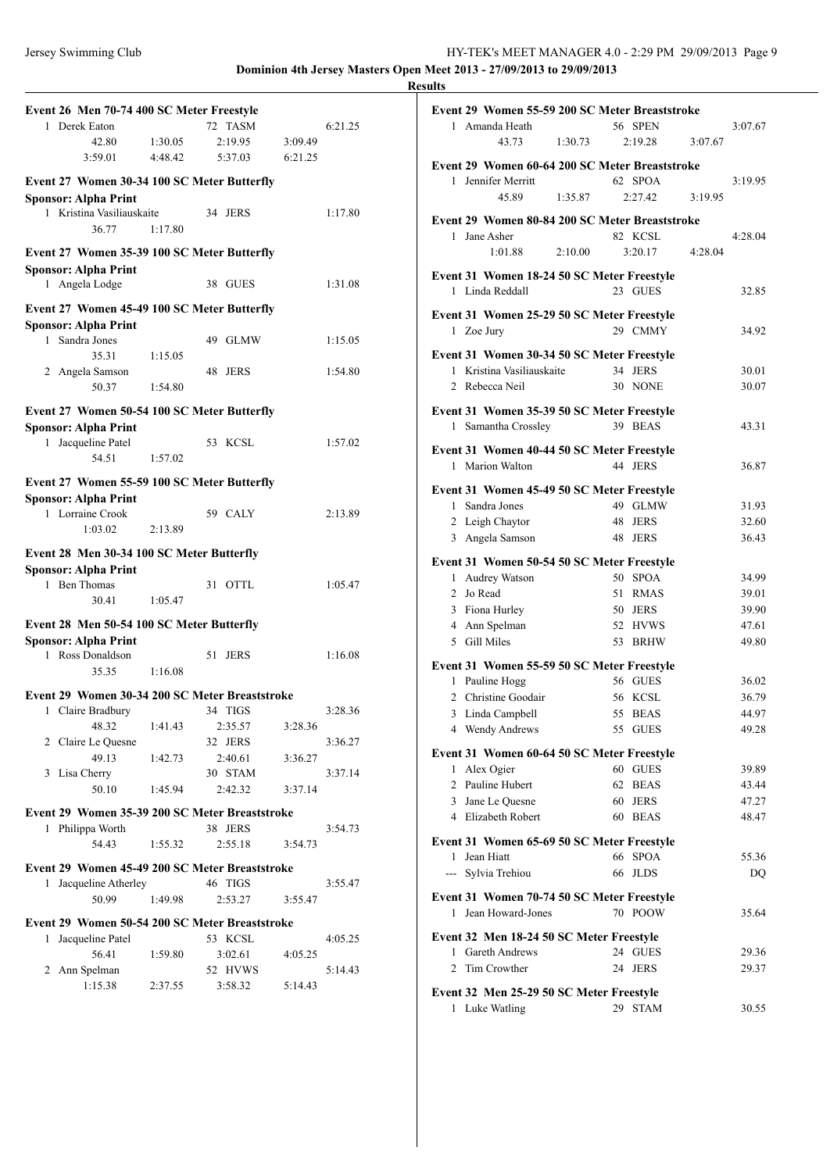## Jersey Swimming Club HY-TEK's MEET MANAGER 4.0 - 2:29 PM 29/09/2013 Page 9 **Dominion 4th Jersey Masters Open Meet 2013 - 27/09/2013 to 29/09/2013**

| Event 26 Men 70-74 400 SC Meter Freestyle         |         |                   |         |         |
|---------------------------------------------------|---------|-------------------|---------|---------|
| 1 Derek Eaton                                     |         | 72 TASM           |         | 6:21.25 |
| 42.80                                             | 1:30.05 | 2:19.95           | 3:09.49 |         |
| 3:59.01                                           | 4:48.42 | 5:37.03           | 6:21.25 |         |
|                                                   |         |                   |         |         |
| Event 27 Women 30-34 100 SC Meter Butterfly       |         |                   |         |         |
| <b>Sponsor: Alpha Print</b>                       |         |                   |         |         |
| 1 Kristina Vasiliauskaite                         |         | 34 JERS           |         | 1:17.80 |
| 36.77                                             | 1:17.80 |                   |         |         |
| Event 27 Women 35-39 100 SC Meter Butterfly       |         |                   |         |         |
| <b>Sponsor: Alpha Print</b>                       |         |                   |         |         |
| 1 Angela Lodge                                    |         | 38 GUES           |         | 1:31.08 |
|                                                   |         |                   |         |         |
| Event 27 Women 45-49 100 SC Meter Butterfly       |         |                   |         |         |
| <b>Sponsor: Alpha Print</b>                       |         |                   |         |         |
| Sandra Jones<br>$\mathbf{1}$                      |         | 49 GLMW           |         | 1:15.05 |
| 35.31                                             | 1:15.05 |                   |         |         |
| 2 Angela Samson                                   |         | 48 JERS           |         | 1:54.80 |
| 50.37                                             | 1:54.80 |                   |         |         |
| Event 27 Women 50-54 100 SC Meter Butterfly       |         |                   |         |         |
|                                                   |         |                   |         |         |
| <b>Sponsor: Alpha Print</b><br>1 Jacqueline Patel |         | 53 KCSL           |         | 1:57.02 |
| 54.51                                             |         |                   |         |         |
|                                                   | 1:57.02 |                   |         |         |
| Event 27 Women 55-59 100 SC Meter Butterfly       |         |                   |         |         |
| <b>Sponsor: Alpha Print</b>                       |         |                   |         |         |
| 1 Lorraine Crook                                  |         | 59 CALY           |         | 2:13.89 |
| 1:03.02                                           | 2:13.89 |                   |         |         |
|                                                   |         |                   |         |         |
| Event 28 Men 30-34 100 SC Meter Butterfly         |         |                   |         |         |
| <b>Sponsor: Alpha Print</b>                       |         |                   |         |         |
| 1 Ben Thomas                                      |         | 31 OTTL           |         | 1:05.47 |
| 30.41                                             | 1:05.47 |                   |         |         |
| Event 28 Men 50-54 100 SC Meter Butterfly         |         |                   |         |         |
| <b>Sponsor: Alpha Print</b>                       |         |                   |         |         |
| Ross Donaldson<br>1.                              |         | 51<br><b>JERS</b> |         | 1:16.08 |
| 35.35                                             | 1:16.08 |                   |         |         |
|                                                   |         |                   |         |         |
| Event 29 Women 30-34 200 SC Meter Breaststroke    |         |                   |         | 3:28.36 |
| 1 Claire Bradbury 34 TIGS                         |         |                   |         |         |
| 48.32                                             | 1:41.43 | 2:35.57           | 3:28.36 |         |
| 2 Claire Le Quesne                                |         | 32 JERS           |         | 3:36.27 |
| 49.13                                             | 1:42.73 | 2:40.61           | 3:36.27 |         |
| 3 Lisa Cherry                                     |         | 30 STAM           |         | 3:37.14 |
| 50.10                                             | 1:45.94 | 2:42.32           | 3:37.14 |         |
| Event 29 Women 35-39 200 SC Meter Breaststroke    |         |                   |         |         |
| 1 Philippa Worth                                  |         | 38 JERS           |         | 3:54.73 |
| 54.43                                             | 1:55.32 | 2:55.18           | 3:54.73 |         |
|                                                   |         |                   |         |         |
| Event 29 Women 45-49 200 SC Meter Breaststroke    |         |                   |         |         |
| Jacqueline Atherley<br>1                          |         | 46 TIGS           |         | 3:55.47 |
| 50.99                                             | 1:49.98 | 2:53.27           | 3:55.47 |         |
| Event 29 Women 50-54 200 SC Meter Breaststroke    |         |                   |         |         |
| Jacqueline Patel<br>$\mathbf{1}$                  |         | 53 KCSL           |         | 4:05.25 |
| 56.41                                             | 1:59.80 | 3:02.61           | 4:05.25 |         |
| Ann Spelman<br>$\overline{2}$                     |         | 52 HVWS           |         | 5:14.43 |
| 1:15.38                                           | 2:37.55 | 3:58.32           | 5:14.43 |         |
|                                                   |         |                   |         |         |
|                                                   |         |                   |         |         |

| Event 29 Women 55-59 200 SC Meter Breaststroke                  |         |                        |         |                |
|-----------------------------------------------------------------|---------|------------------------|---------|----------------|
| 1 Amanda Heath                                                  |         | 56 SPEN                |         | 3:07.67        |
| 4373                                                            | 1:30.73 | 2:19.28                | 3:07.67 |                |
| Event 29 Women 60-64 200 SC Meter Breaststroke                  |         |                        |         |                |
| 1 Jennifer Merritt                                              |         | 62 SPOA                |         | 3:19.95        |
| 45.89                                                           | 1:35.87 | 2:27.42                | 3:19.95 |                |
|                                                                 |         |                        |         |                |
| Event 29 Women 80-84 200 SC Meter Breaststroke                  |         |                        |         |                |
| Jane Asher<br>$\mathbf{1}$                                      |         | 82 KCSL                |         | 4:28.04        |
| 1:01.88                                                         | 2:10.00 | 3:20.17                | 4:28.04 |                |
| Event 31 Women 18-24 50 SC Meter Freestyle                      |         |                        |         |                |
| 1 Linda Reddall                                                 |         | 23 GUES                |         | 32.85          |
| Event 31 Women 25-29 50 SC Meter Freestyle                      |         |                        |         |                |
| 1 Zoe Jury                                                      |         | 29 CMMY                |         | 34.92          |
|                                                                 |         |                        |         |                |
| Event 31 Women 30-34 50 SC Meter Freestyle                      |         |                        |         |                |
| 1 Kristina Vasiliauskaite                                       |         | 34 JERS                |         | 30.01          |
| 2 Rebecca Neil                                                  |         | 30 NONE                |         | 30.07          |
| Event 31 Women 35-39 50 SC Meter Freestyle                      |         |                        |         |                |
| Samantha Crossley<br>1                                          |         | 39 BEAS                |         | 43.31          |
| Event 31 Women 40-44 50 SC Meter Freestyle                      |         |                        |         |                |
| 1 Marion Walton                                                 |         | 44 JERS                |         | 36.87          |
|                                                                 |         |                        |         |                |
| Event 31 Women 45-49 50 SC Meter Freestyle                      |         |                        |         |                |
| 1 Sandra Jones                                                  |         | 49 GLMW                |         | 31.93          |
| 2 Leigh Chaytor                                                 |         | 48 JERS                |         | 32.60          |
| 3 Angela Samson                                                 |         | 48 JERS                |         | 36.43          |
| Event 31 Women 50-54 50 SC Meter Freestyle                      |         |                        |         |                |
| Audrey Watson<br>1                                              | 50      | <b>SPOA</b>            |         | 34.99          |
| $\overline{2}$<br>Jo Read                                       |         | 51 RMAS                |         | 39.01          |
| Fiona Hurley<br>3                                               |         | 50 JERS                |         | 39.90          |
| 4 Ann Spelman                                                   |         | 52 HVWS                |         | 47.61          |
| 5 Gill Miles                                                    |         | 53 BRHW                |         | 49.80          |
| Event 31 Women 55-59 50 SC Meter Freestyle                      |         |                        |         |                |
| 1 Pauline Hogg                                                  |         | 56 GUES                |         | 36.02          |
| Christine Goodair<br>2                                          |         | 56 KCSL                |         | 36.79          |
| 3<br>Linda Campbell                                             |         | 55 BEAS                |         | 44.97          |
| Wendy Andrews                                                   |         | 55 GUES                |         | 49.28          |
|                                                                 |         |                        |         |                |
| Event 31 Women 60-64 50 SC Meter Freestyle                      |         |                        |         |                |
| Alex Ogier<br>1<br>Pauline Hubert<br>$\overline{c}$             | 62      | 60 GUES<br><b>BEAS</b> |         | 39.89<br>43.44 |
| Jane Le Ouesne<br>3                                             | 60      | <b>JERS</b>            |         | 47.27          |
| 4 Elizabeth Robert                                              |         | 60 BEAS                |         | 48.47          |
|                                                                 |         |                        |         |                |
| Event 31 Women 65-69 50 SC Meter Freestyle                      |         |                        |         |                |
| 1 Jean Hiatt                                                    | 66      | <b>SPOA</b>            |         | 55.36          |
| $---$<br>Sylvia Trehiou                                         | 66      | <b>JLDS</b>            |         | DQ             |
| Event 31 Women 70-74 50 SC Meter Freestyle                      |         |                        |         |                |
| Jean Howard-Jones<br>1                                          |         | 70 POOW                |         | 35.64          |
|                                                                 |         |                        |         |                |
| Event 32 Men 18-24 50 SC Meter Freestyle<br>Gareth Andrews<br>1 |         | 24 GUES                |         |                |
| Tim Crowther<br>2                                               | 24      | <b>JERS</b>            |         | 29.36<br>29.37 |
|                                                                 |         |                        |         |                |
| Event 32 Men 25-29 50 SC Meter Freestyle                        |         |                        |         |                |
| 1 Luke Watling                                                  | 29      | <b>STAM</b>            |         | 30.55          |
|                                                                 |         |                        |         |                |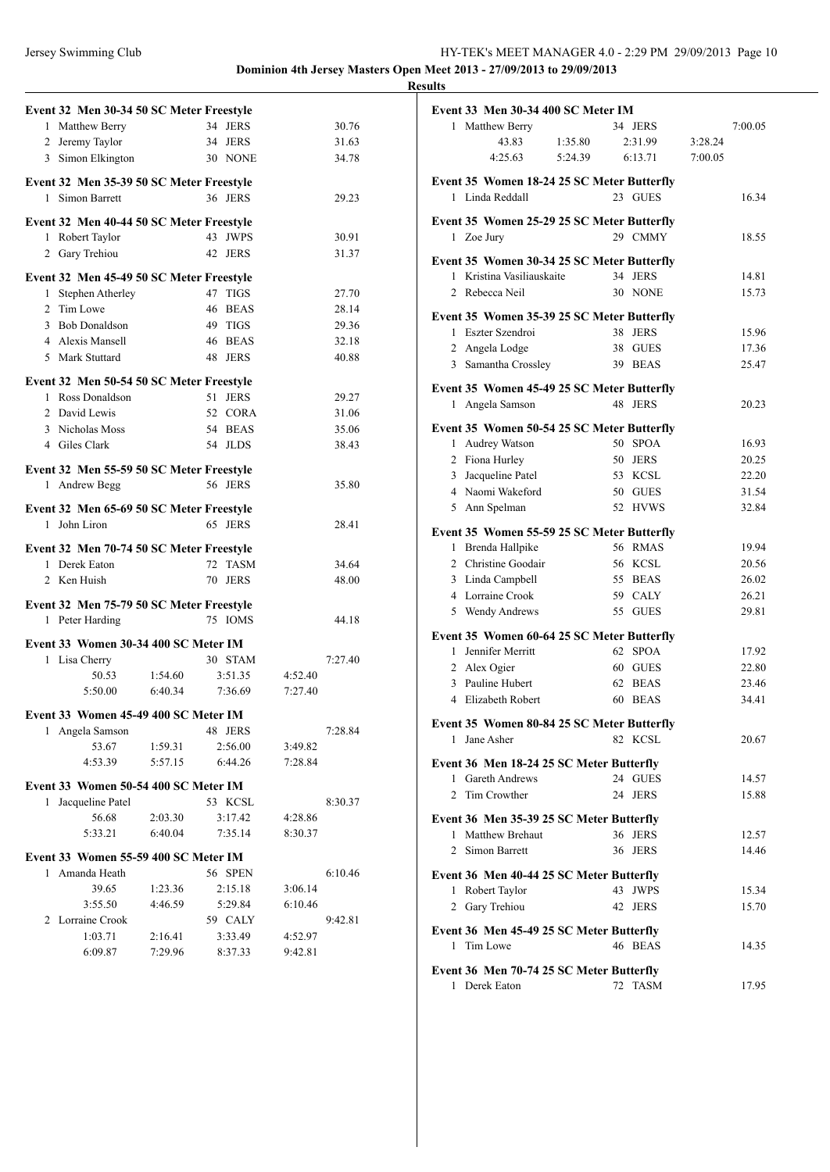|                | Event 32 Men 30-34 50 SC Meter Freestyle                    |                    |    |                    |                    |         |
|----------------|-------------------------------------------------------------|--------------------|----|--------------------|--------------------|---------|
|                | 1 Matthew Berry                                             |                    |    | 34 JERS            |                    | 30.76   |
|                | 2 Jeremy Taylor                                             |                    |    | 34 JERS            |                    | 31.63   |
|                | 3 Simon Elkington                                           |                    |    | 30 NONE            |                    | 34.78   |
|                |                                                             |                    |    |                    |                    |         |
|                | Event 32 Men 35-39 50 SC Meter Freestyle<br>1 Simon Barrett |                    |    | 36 JERS            |                    | 29.23   |
|                |                                                             |                    |    |                    |                    |         |
|                | Event 32 Men 40-44 50 SC Meter Freestyle                    |                    |    |                    |                    |         |
| $\mathbf{1}$   | Robert Taylor                                               |                    |    | 43 JWPS            |                    | 30.91   |
| $\mathbf{2}$   | Gary Trehiou                                                |                    |    | 42 JERS            |                    | 31.37   |
|                | Event 32 Men 45-49 50 SC Meter Freestyle                    |                    |    |                    |                    |         |
| 1              | Stephen Atherley                                            |                    |    | 47 TIGS            |                    | 27.70   |
|                | 2 Tim Lowe                                                  |                    | 46 | <b>BEAS</b>        |                    | 28.14   |
|                | 3 Bob Donaldson                                             |                    |    | 49 TIGS            |                    | 29.36   |
|                | 4 Alexis Mansell                                            |                    |    | 46 BEAS            |                    | 32.18   |
|                | 5 Mark Stuttard                                             |                    |    | 48 JERS            |                    | 40.88   |
|                |                                                             |                    |    |                    |                    |         |
|                | Event 32 Men 50-54 50 SC Meter Freestyle                    |                    |    |                    |                    |         |
|                | 1 Ross Donaldson                                            |                    | 51 | <b>JERS</b>        |                    | 29.27   |
|                | 2 David Lewis                                               |                    |    | 52 CORA            |                    | 31.06   |
|                | 3 Nicholas Moss                                             |                    |    | 54 BEAS            |                    | 35.06   |
|                | 4 Giles Clark                                               |                    |    | 54 JLDS            |                    | 38.43   |
|                | Event 32 Men 55-59 50 SC Meter Freestyle                    |                    |    |                    |                    |         |
| 1              | Andrew Begg                                                 |                    |    | 56 JERS            |                    | 35.80   |
|                |                                                             |                    |    |                    |                    |         |
|                | Event 32 Men 65-69 50 SC Meter Freestyle                    |                    |    |                    |                    |         |
|                | 1 John Liron                                                |                    |    | 65 JERS            |                    | 28.41   |
|                | Event 32 Men 70-74 50 SC Meter Freestyle                    |                    |    |                    |                    |         |
|                | 1 Derek Eaton                                               |                    | 72 | <b>TASM</b>        |                    | 34.64   |
|                | 2 Ken Huish                                                 |                    |    | 70 JERS            |                    | 48.00   |
|                |                                                             |                    |    |                    |                    |         |
|                |                                                             |                    |    |                    |                    |         |
|                | Event 32 Men 75-79 50 SC Meter Freestyle                    |                    |    |                    |                    |         |
|                | 1 Peter Harding                                             |                    |    | 75 IOMS            |                    | 44.18   |
|                |                                                             |                    |    |                    |                    |         |
|                | Event 33 Women 30-34 400 SC Meter IM                        |                    |    | 30 STAM            |                    | 7:27.40 |
|                | 1 Lisa Cherry<br>50.53                                      | 1:54.60            |    | 3:51.35            | 4:52.40            |         |
|                | 5:50.00                                                     | 6:40.34            |    | 7:36.69            | 7:27.40            |         |
|                |                                                             |                    |    |                    |                    |         |
|                | Event 33 Women 45-49 400 SC Meter IM                        |                    |    |                    |                    |         |
| 1              | Angela Samson                                               |                    |    | 48 JERS            |                    | 7:28.84 |
|                | 53.67                                                       | 1:59.31            |    | 2:56.00            | 3:49.82            |         |
|                | 4:53.39                                                     | 5:57.15            |    | 6:44.26            | 7:28.84            |         |
|                | Event 33 Women 50-54 400 SC Meter IM                        |                    |    |                    |                    |         |
| 1              | Jacqueline Patel                                            |                    |    | 53 KCSL            |                    | 8:30.37 |
|                | 56.68                                                       | 2:03.30            |    | 3:17.42            | 4:28.86            |         |
|                | 5:33.21                                                     | 6:40.04            |    | 7:35.14            | 8:30.37            |         |
|                |                                                             |                    |    |                    |                    |         |
|                | Event 33 Women 55-59 400 SC Meter IM                        |                    |    |                    |                    |         |
|                | 1 Amanda Heath                                              |                    |    | 56 SPEN            |                    | 6:10.46 |
|                | 39.65                                                       | 1:23.36            |    | 2:15.18            | 3:06.14            |         |
|                | 3:55.50                                                     | 4:46.59            |    | 5:29.84            | 6:10.46            |         |
| $\overline{2}$ | Lorraine Crook                                              |                    |    | 59 CALY            |                    | 9:42.81 |
|                | 1:03.71<br>6:09.87                                          | 2:16.41<br>7:29.96 |    | 3:33.49<br>8:37.33 | 4:52.97<br>9:42.81 |         |

|                | Event 33 Men 30-34 400 SC Meter IM         |         |    |             |         |         |
|----------------|--------------------------------------------|---------|----|-------------|---------|---------|
|                | 1 Matthew Berry                            |         |    | 34 JERS     |         | 7:00.05 |
|                | 43.83                                      | 1:35.80 |    | 2:31.99     | 3:28.24 |         |
|                | 4:25.63                                    | 5:24.39 |    | 6:13.71     | 7:00.05 |         |
|                | Event 35 Women 18-24 25 SC Meter Butterfly |         |    |             |         |         |
|                | 1 Linda Reddall                            |         |    | 23 GUES     |         | 16.34   |
|                |                                            |         |    |             |         |         |
|                | Event 35 Women 25-29 25 SC Meter Butterfly |         |    |             |         |         |
|                | 1 Zoe Jury                                 |         |    | 29 CMMY     |         | 18.55   |
|                | Event 35 Women 30-34 25 SC Meter Butterfly |         |    |             |         |         |
| 1              | Kristina Vasiliauskaite                    |         | 34 | <b>JERS</b> |         | 14.81   |
|                | 2 Rebecca Neil                             |         | 30 | <b>NONE</b> |         | 15.73   |
|                | Event 35 Women 35-39 25 SC Meter Butterfly |         |    |             |         |         |
|                | 1 Eszter Szendroi                          |         |    | 38 JERS     |         | 15.96   |
|                | 2 Angela Lodge                             |         |    | 38 GUES     |         | 17.36   |
|                | 3 Samantha Crossley                        |         |    | 39 BEAS     |         | 25.47   |
|                |                                            |         |    |             |         |         |
|                | Event 35 Women 45-49 25 SC Meter Butterfly |         |    |             |         |         |
|                | 1 Angela Samson                            |         |    | 48 JERS     |         | 20.23   |
|                | Event 35 Women 50-54 25 SC Meter Butterfly |         |    |             |         |         |
|                | 1 Audrey Watson                            |         |    | 50 SPOA     |         | 16.93   |
|                | 2 Fiona Hurley                             |         | 50 | <b>JERS</b> |         | 20.25   |
|                | 3 Jacqueline Patel                         |         |    | 53 KCSL     |         | 22.20   |
|                | 4 Naomi Wakeford                           |         |    | 50 GUES     |         | 31.54   |
|                | 5 Ann Spelman                              |         |    | 52 HVWS     |         | 32.84   |
|                | Event 35 Women 55-59 25 SC Meter Butterfly |         |    |             |         |         |
|                | 1 Brenda Hallpike                          |         |    | 56 RMAS     |         | 19.94   |
|                | 2 Christine Goodair                        |         |    | 56 KCSL     |         | 20.56   |
|                | 3 Linda Campbell                           |         | 55 | <b>BEAS</b> |         | 26.02   |
|                | 4 Lorraine Crook                           |         |    | 59 CALY     |         | 26.21   |
|                | 5 Wendy Andrews                            |         |    | 55 GUES     |         | 29.81   |
|                |                                            |         |    |             |         |         |
|                | Event 35 Women 60-64 25 SC Meter Butterfly |         |    |             |         |         |
|                | 1 Jennifer Merritt                         |         | 62 | <b>SPOA</b> |         | 17.92   |
|                | 2 Alex Ogier                               |         |    | 60 GUES     |         | 22.80   |
|                | 3 Pauline Hubert                           |         |    | 62 BEAS     |         | 23.46   |
|                | 4 Elizabeth Robert                         |         | 60 | <b>BEAS</b> |         | 34.41   |
|                | Event 35 Women 80-84 25 SC Meter Butterfly |         |    |             |         |         |
|                | 1 Jane Asher                               |         |    | 82 KCSL     |         | 20.67   |
|                | Event 36 Men 18-24 25 SC Meter Butterfly   |         |    |             |         |         |
| 1              | <b>Gareth Andrews</b>                      |         |    | 24 GUES     |         | 14.57   |
| 2              | Tim Crowther                               |         | 24 | <b>JERS</b> |         | 15.88   |
|                |                                            |         |    |             |         |         |
|                | Event 36 Men 35-39 25 SC Meter Butterfly   |         |    |             |         |         |
| 1              | Matthew Brehaut                            |         | 36 | <b>JERS</b> |         | 12.57   |
| $\overline{2}$ | Simon Barrett                              |         | 36 | <b>JERS</b> |         | 14.46   |
|                | Event 36 Men 40-44 25 SC Meter Butterfly   |         |    |             |         |         |
|                | 1 Robert Taylor                            |         | 43 | <b>JWPS</b> |         | 15.34   |
|                | 2 Gary Trehiou                             |         | 42 | <b>JERS</b> |         | 15.70   |
|                |                                            |         |    |             |         |         |
|                | Event 36 Men 45-49 25 SC Meter Butterfly   |         |    |             |         |         |
| 1              | Tim Lowe                                   |         |    | 46 BEAS     |         | 14.35   |
|                | Event 36 Men 70-74 25 SC Meter Butterfly   |         |    |             |         |         |
| 1              | Derek Eaton                                |         | 72 | <b>TASM</b> |         | 17.95   |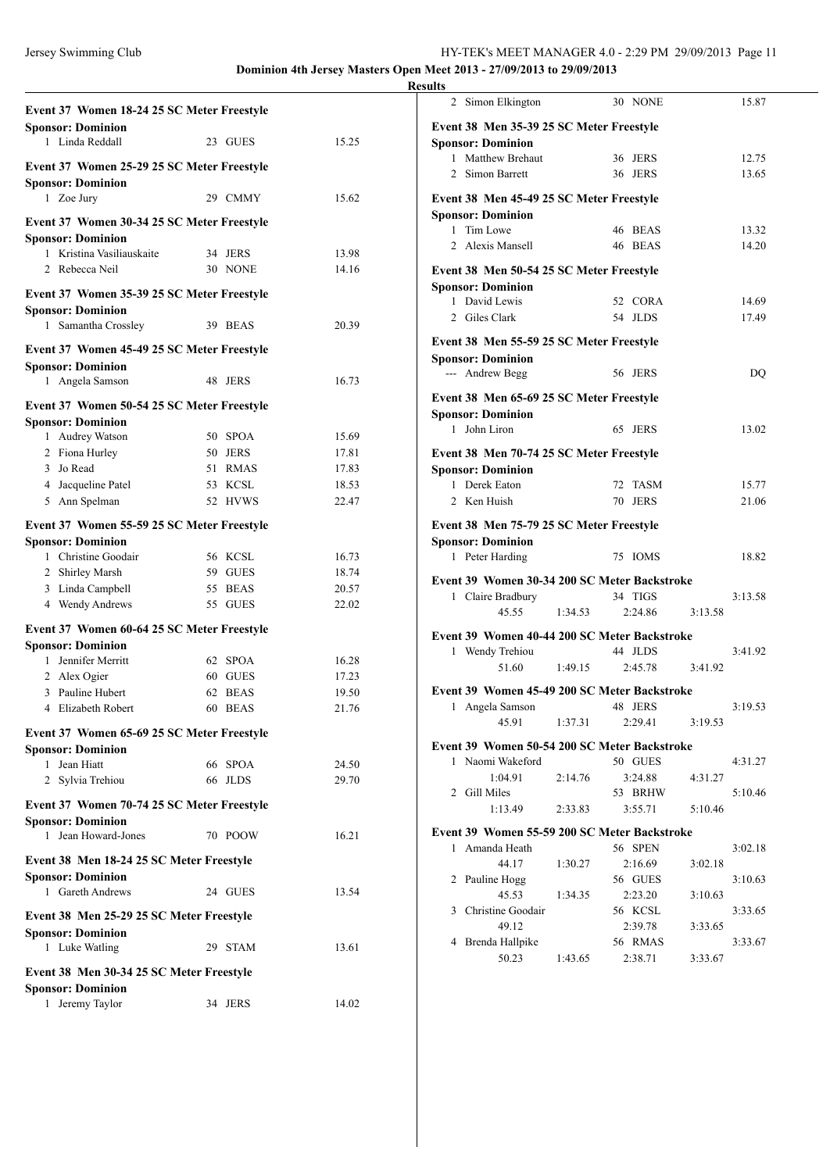| Event 37 Women 18-24 25 SC Meter Freestyle                             |                   |       |
|------------------------------------------------------------------------|-------------------|-------|
| <b>Sponsor: Dominion</b><br>1 Linda Reddall                            | 23 GUES           | 15.25 |
| Event 37 Women 25-29 25 SC Meter Freestyle                             |                   |       |
| <b>Sponsor: Dominion</b>                                               |                   |       |
| 1 Zoe Jury                                                             | 29 CMMY           | 15.62 |
| Event 37 Women 30-34 25 SC Meter Freestyle                             |                   |       |
| <b>Sponsor: Dominion</b>                                               |                   |       |
| Kristina Vasiliauskaite<br>1                                           | 34 JERS           | 13.98 |
| Rebecca Neil<br>$\mathfrak{D}$                                         | 30 NONE           | 14.16 |
| Event 37 Women 35-39 25 SC Meter Freestyle                             |                   |       |
| <b>Sponsor: Dominion</b>                                               |                   |       |
| Samantha Crossley<br>$\mathbf{1}$                                      | 39 BEAS           | 20.39 |
| Event 37 Women 45-49 25 SC Meter Freestyle                             |                   |       |
| <b>Sponsor: Dominion</b>                                               |                   |       |
| 1 Angela Samson                                                        | 48<br><b>JERS</b> | 16.73 |
| Event 37 Women 50-54 25 SC Meter Freestyle                             |                   |       |
| <b>Sponsor: Dominion</b>                                               |                   |       |
| 1 Audrey Watson                                                        | 50 SPOA           | 15.69 |
| 2 Fiona Hurley                                                         | 50 JERS           | 17.81 |
| 3 Jo Read                                                              | 51 RMAS           | 17.83 |
| 4 Jacqueline Patel                                                     | 53 KCSL           | 18.53 |
| 5 Ann Spelman                                                          | 52 HVWS           | 22.47 |
| Event 37 Women 55-59 25 SC Meter Freestyle                             |                   |       |
| <b>Sponsor: Dominion</b>                                               |                   |       |
| 1 Christine Goodair                                                    | 56 KCSL           | 16.73 |
| 2 Shirley Marsh                                                        | 59<br>GUES        | 18.74 |
| 3 Linda Campbell                                                       | <b>BEAS</b><br>55 | 20.57 |
| 4 Wendy Andrews                                                        | 55<br><b>GUES</b> | 22.02 |
| Event 37 Women 60-64 25 SC Meter Freestyle                             |                   |       |
| <b>Sponsor: Dominion</b><br>1 Jennifer Merritt                         | 62 SPOA           | 16.28 |
| 2 Alex Ogier                                                           | 60 GUES           | 17.23 |
| 3 Pauline Hubert                                                       | 62 BEAS           | 19.50 |
| 4 Elizabeth Robert                                                     | 60 BEAS           | 21.76 |
| Event 37 Women 65-69 25 SC Meter Freestyle                             |                   |       |
| <b>Sponsor: Dominion</b>                                               |                   |       |
| Jean Hiatt<br>1                                                        | 66 SPOA           | 24.50 |
| 2 Sylvia Trehiou                                                       | 66<br><b>JLDS</b> | 29.70 |
|                                                                        |                   |       |
| Event 37 Women 70-74 25 SC Meter Freestyle<br><b>Sponsor: Dominion</b> |                   |       |
| Jean Howard-Jones<br>$\mathbf{1}$                                      | 70 POOW           | 16.21 |
|                                                                        |                   |       |
| Event 38 Men 18-24 25 SC Meter Freestyle                               |                   |       |
| <b>Sponsor: Dominion</b><br>1 Gareth Andrews                           | 24 GUES           |       |
|                                                                        |                   | 13.54 |
| Event 38 Men 25-29 25 SC Meter Freestyle                               |                   |       |
| <b>Sponsor: Dominion</b>                                               |                   |       |
| 1 Luke Watling                                                         | 29 STAM           | 13.61 |
| Event 38 Men 30-34 25 SC Meter Freestyle                               |                   |       |
| <b>Sponsor: Dominion</b>                                               |                   |       |
| Jeremy Taylor<br>1                                                     | 34 JERS           | 14.02 |

|                | 2 Simon Elkington                                                |         |    | 30 NONE     |         | 15.87   |  |
|----------------|------------------------------------------------------------------|---------|----|-------------|---------|---------|--|
|                | Event 38 Men 35-39 25 SC Meter Freestyle                         |         |    |             |         |         |  |
|                | <b>Sponsor: Dominion</b>                                         |         |    |             |         |         |  |
|                | 1 Matthew Brehaut                                                |         |    | 36 JERS     |         | 12.75   |  |
|                | 2 Simon Barrett                                                  |         | 36 | <b>JERS</b> |         | 13.65   |  |
|                | Event 38 Men 45-49 25 SC Meter Freestyle                         |         |    |             |         |         |  |
|                | <b>Sponsor: Dominion</b>                                         |         |    |             |         |         |  |
| $\mathbf{1}$   | Tim Lowe                                                         |         |    | 46 BEAS     |         | 13.32   |  |
| 2              | Alexis Mansell                                                   |         |    | 46 BEAS     |         | 14.20   |  |
|                | Event 38 Men 50-54 25 SC Meter Freestyle                         |         |    |             |         |         |  |
|                | <b>Sponsor: Dominion</b>                                         |         |    |             |         |         |  |
|                | 1 David Lewis                                                    |         |    | 52 CORA     |         | 14.69   |  |
|                | 2 Giles Clark                                                    |         |    | 54 JLDS     |         | 17.49   |  |
|                | Event 38 Men 55-59 25 SC Meter Freestyle                         |         |    |             |         |         |  |
|                | <b>Sponsor: Dominion</b>                                         |         |    |             |         |         |  |
|                | --- Andrew Begg                                                  |         |    | 56 JERS     |         | DQ      |  |
|                | Event 38 Men 65-69 25 SC Meter Freestyle                         |         |    |             |         |         |  |
|                | <b>Sponsor: Dominion</b>                                         |         |    |             |         |         |  |
| 1              | John Liron                                                       |         | 65 | <b>JERS</b> |         | 13.02   |  |
|                | Event 38 Men 70-74 25 SC Meter Freestyle                         |         |    |             |         |         |  |
|                | <b>Sponsor: Dominion</b>                                         |         |    |             |         |         |  |
|                | 1 Derek Eaton                                                    |         |    | 72 TASM     |         | 15.77   |  |
| $\overline{2}$ | Ken Huish                                                        |         | 70 | <b>JERS</b> |         | 21.06   |  |
|                | Event 38 Men 75-79 25 SC Meter Freestyle                         |         |    |             |         |         |  |
|                | <b>Sponsor: Dominion</b>                                         |         |    |             |         |         |  |
|                | 1 Peter Harding                                                  |         |    | 75 IOMS     |         | 18.82   |  |
|                | Event 39 Women 30-34 200 SC Meter Backstroke                     |         |    |             |         |         |  |
|                | 1 Claire Bradbury                                                |         |    | 34 TIGS     |         | 3:13.58 |  |
|                | 45.55                                                            | 1:34.53 |    | 2:24.86     | 3:13.58 |         |  |
|                | Event 39 Women 40-44 200 SC Meter Backstroke                     |         |    |             |         |         |  |
|                | 1 Wendy Trehiou                                                  |         |    | 44 JLDS     |         | 3:41.92 |  |
|                | 51.60                                                            | 1:49.15 |    | 2:45.78     | 3:41.92 |         |  |
|                | Event 39 Women 45-49 200 SC Meter Backstroke                     |         |    |             |         |         |  |
| $\mathbf{1}$   | Angela Samson                                                    |         |    | 48 JERS     |         | 3:19.53 |  |
|                | 45.91                                                            | 1:37.31 |    | 2:29.41     | 3:19.53 |         |  |
|                |                                                                  |         |    |             |         |         |  |
|                | Event 39 Women 50-54 200 SC Meter Backstroke<br>1 Naomi Wakeford |         |    | 50 GUES     |         | 4:31.27 |  |
|                | 1:04.91                                                          | 2:14.76 |    | 3:24.88     | 4:31.27 |         |  |
|                | 2 Gill Miles                                                     |         |    | 53 BRHW     |         | 5:10.46 |  |
|                | 1:13.49                                                          | 2:33.83 |    | 3:55.71     | 5:10.46 |         |  |
|                |                                                                  |         |    |             |         |         |  |
|                | Event 39 Women 55-59 200 SC Meter Backstroke<br>1 Amanda Heath   |         |    | 56 SPEN     |         | 3:02.18 |  |
|                | 44.17                                                            | 1:30.27 |    | 2:16.69     | 3:02.18 |         |  |
|                | 2 Pauline Hogg                                                   |         |    | 56 GUES     |         | 3:10.63 |  |
|                | 45.53                                                            | 1:34.35 |    | 2:23.20     | 3:10.63 |         |  |
|                | 3 Christine Goodair                                              |         |    | 56 KCSL     |         | 3:33.65 |  |
|                | 49.12                                                            |         |    | 2:39.78     | 3:33.65 |         |  |
| 4              | Brenda Hallpike                                                  |         |    | 56 RMAS     |         | 3:33.67 |  |
|                | 50.23                                                            | 1:43.65 |    | 2:38.71     | 3:33.67 |         |  |
|                |                                                                  |         |    |             |         |         |  |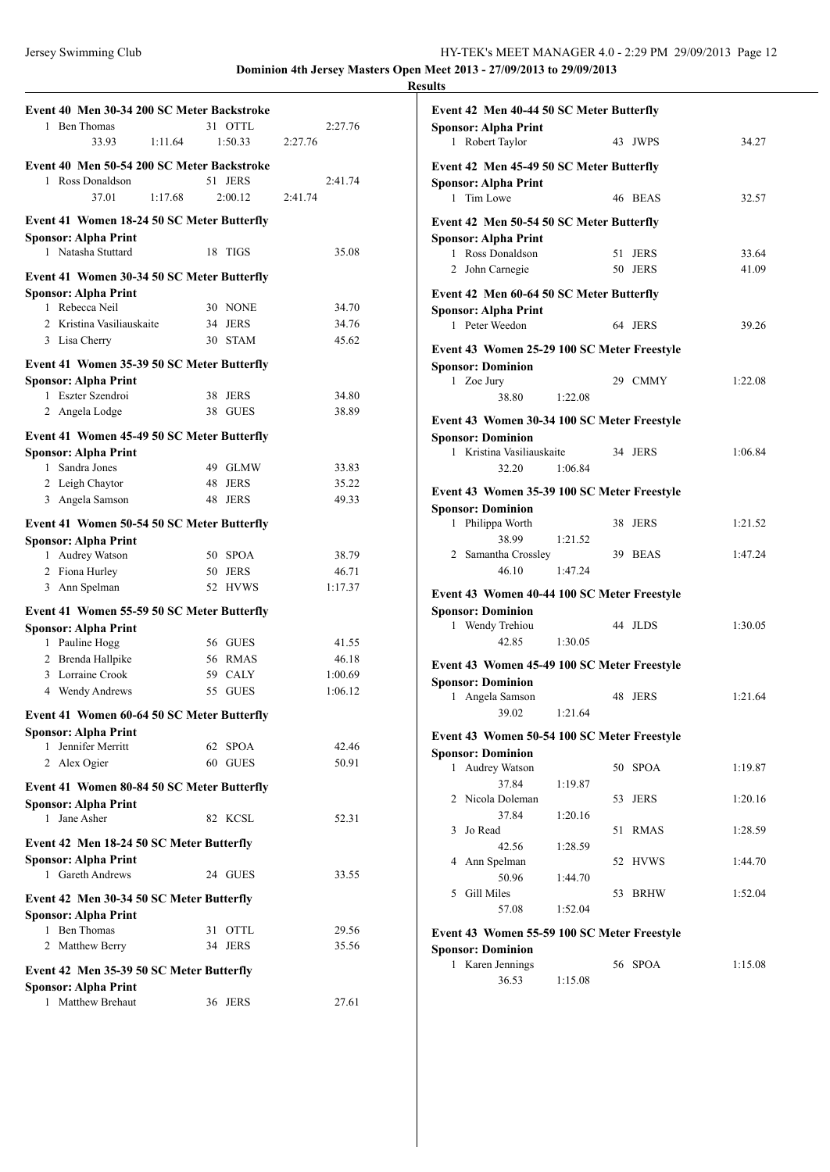| Event 40 Men 30-34 200 SC Meter Backstroke    |         |    |                    |         |                  |
|-----------------------------------------------|---------|----|--------------------|---------|------------------|
| 1 Ben Thomas                                  |         |    | 31 OTTL            |         | 2:27.76          |
| 33.93                                         | 1:11.64 |    | 1:50.33            | 2:27.76 |                  |
| Event 40 Men 50-54 200 SC Meter Backstroke    |         |    |                    |         |                  |
| 1 Ross Donaldson                              |         | 51 | <b>JERS</b>        |         | 2:41.74          |
| 37.01                                         | 1:17.68 |    | 2:00.12            | 2:41.74 |                  |
| Event 41 Women 18-24 50 SC Meter Butterfly    |         |    |                    |         |                  |
| <b>Sponsor: Alpha Print</b>                   |         |    |                    |         |                  |
| 1 Natasha Stuttard                            |         | 18 | TIGS               |         | 35.08            |
| Event 41 Women 30-34 50 SC Meter Butterfly    |         |    |                    |         |                  |
| <b>Sponsor: Alpha Print</b>                   |         |    |                    |         |                  |
| 1 Rebecca Neil                                |         |    | 30 NONE            |         | 34.70            |
| 2 Kristina Vasiliauskaite                     |         | 34 | <b>JERS</b>        |         | 34.76            |
| 3 Lisa Cherry                                 |         |    | 30 STAM            |         | 45.62            |
| Event 41 Women 35-39 50 SC Meter Butterfly    |         |    |                    |         |                  |
| <b>Sponsor: Alpha Print</b>                   |         |    |                    |         |                  |
| 1 Eszter Szendroi                             |         |    | 38 JERS            |         | 34.80            |
| 2 Angela Lodge                                |         |    | 38 GUES            |         | 38.89            |
| Event 41 Women 45-49 50 SC Meter Butterfly    |         |    |                    |         |                  |
| <b>Sponsor: Alpha Print</b>                   |         |    |                    |         |                  |
| 1 Sandra Jones                                |         |    | 49 GLMW            |         | 33.83            |
| 2 Leigh Chaytor                               |         |    | 48 JERS            |         | 35.22            |
| 3 Angela Samson                               |         | 48 | <b>JERS</b>        |         | 49.33            |
| Event 41 Women 50-54 50 SC Meter Butterfly    |         |    |                    |         |                  |
| <b>Sponsor: Alpha Print</b>                   |         |    |                    |         |                  |
| 1 Audrey Watson                               |         |    | 50 SPOA            |         | 38.79            |
| 2 Fiona Hurley                                |         |    | 50 JERS<br>52 HVWS |         | 46.71<br>1:17.37 |
| 3 Ann Spelman                                 |         |    |                    |         |                  |
| Event 41 Women 55-59 50 SC Meter Butterfly    |         |    |                    |         |                  |
| <b>Sponsor: Alpha Print</b><br>1 Pauline Hogg |         |    | 56 GUES            |         | 41.55            |
| 2 Brenda Hallpike                             |         |    | 56 RMAS            |         | 46.18            |
| 3 Lorraine Crook                              |         |    | 59 CALY            |         | 1:00.69          |
| 4 Wendy Andrews                               |         |    | 55 GUES            |         | 1:06.12          |
| Event 41 Women 60-64 50 SC Meter Butterfly    |         |    |                    |         |                  |
| <b>Sponsor: Alpha Print</b>                   |         |    |                    |         |                  |
| Jennifer Merritt<br>1                         |         |    | 62 SPOA            |         | 42.46            |
| 2 Alex Ogier                                  |         |    | 60 GUES            |         | 50.91            |
| Event 41 Women 80-84 50 SC Meter Butterfly    |         |    |                    |         |                  |
| <b>Sponsor: Alpha Print</b>                   |         |    |                    |         |                  |
| Jane Asher<br>$\mathbf{1}$                    |         |    | 82 KCSL            |         | 52.31            |
| Event 42 Men 18-24 50 SC Meter Butterfly      |         |    |                    |         |                  |
| <b>Sponsor: Alpha Print</b>                   |         |    |                    |         |                  |
| 1 Gareth Andrews                              |         |    | 24 GUES            |         | 33.55            |
| Event 42 Men 30-34 50 SC Meter Butterfly      |         |    |                    |         |                  |
| <b>Sponsor: Alpha Print</b>                   |         |    |                    |         |                  |
| 1 Ben Thomas                                  |         | 31 | <b>OTTL</b>        |         | 29.56            |
| 2 Matthew Berry                               |         |    | 34 JERS            |         | 35.56            |
| Event 42 Men 35-39 50 SC Meter Butterfly      |         |    |                    |         |                  |
| <b>Sponsor: Alpha Print</b>                   |         |    |                    |         |                  |
| 1 Matthew Brehaut                             |         |    | 36 JERS            |         | 27.61            |
|                                               |         |    |                    |         |                  |

| Event 42 Men 40-44 50 SC Meter Butterfly       |         |    |             |         |
|------------------------------------------------|---------|----|-------------|---------|
| <b>Sponsor: Alpha Print</b><br>1 Robert Taylor |         |    | 43 JWPS     | 34.27   |
| Event 42 Men 45-49 50 SC Meter Butterfly       |         |    |             |         |
| <b>Sponsor: Alpha Print</b><br>Tim Lowe<br>1   |         |    | 46 BEAS     | 32.57   |
| Event 42 Men 50-54 50 SC Meter Butterfly       |         |    |             |         |
| <b>Sponsor: Alpha Print</b>                    |         |    |             |         |
| 1 Ross Donaldson                               |         | 51 | <b>JERS</b> | 33.64   |
| 2 John Carnegie                                |         |    | 50 JERS     | 41.09   |
| Event 42 Men 60-64 50 SC Meter Butterfly       |         |    |             |         |
| <b>Sponsor: Alpha Print</b>                    |         |    |             |         |
| 1 Peter Weedon                                 |         |    | 64 JERS     | 39.26   |
| Event 43 Women 25-29 100 SC Meter Freestyle    |         |    |             |         |
| <b>Sponsor: Dominion</b>                       |         |    |             |         |
| 1 Zoe Jury                                     |         |    | 29 CMMY     | 1:22.08 |
| 38.80                                          | 1:22.08 |    |             |         |
| Event 43 Women 30-34 100 SC Meter Freestyle    |         |    |             |         |
| <b>Sponsor: Dominion</b>                       |         |    |             |         |
| 1 Kristina Vasiliauskaite                      |         |    | 34 JERS     | 1:06.84 |
| 32.20                                          | 1:06.84 |    |             |         |
|                                                |         |    |             |         |
| Event 43 Women 35-39 100 SC Meter Freestyle    |         |    |             |         |
| <b>Sponsor: Dominion</b><br>1 Philippa Worth   |         | 38 | <b>JERS</b> | 1:21.52 |
| 38.99                                          | 1:21.52 |    |             |         |
| 2 Samantha Crossley                            |         |    | 39 BEAS     | 1:47.24 |
| 46.10                                          | 1:47.24 |    |             |         |
|                                                |         |    |             |         |
| Event 43 Women 40-44 100 SC Meter Freestyle    |         |    |             |         |
| <b>Sponsor: Dominion</b>                       |         |    |             |         |
| 1 Wendy Trehiou<br>42.85                       | 1:30.05 |    | 44 JLDS     | 1:30.05 |
|                                                |         |    |             |         |
| Event 43 Women 45-49 100 SC Meter Freestyle    |         |    |             |         |
| <b>Sponsor: Dominion</b>                       |         |    |             |         |
| 1 Angela Samson                                |         |    | 48 JERS     | 1:21.64 |
| 39.02                                          | 1:21.64 |    |             |         |
| Event 43 Women 50-54 100 SC Meter Freestyle    |         |    |             |         |
| <b>Sponsor: Dominion</b>                       |         |    |             |         |
| Audrey Watson<br>1                             |         | 50 | <b>SPOA</b> | 1:19.87 |
| 37.84                                          | 1:19.87 |    |             |         |
| Nicola Doleman<br>2                            |         | 53 | <b>JERS</b> | 1:20.16 |
| 37.84                                          | 1:20.16 |    |             |         |
| Jo Read<br>3                                   |         | 51 | <b>RMAS</b> | 1:28.59 |
| 42.56                                          | 1:28.59 |    |             |         |
| Ann Spelman<br>4                               |         | 52 | <b>HVWS</b> | 1:44.70 |
| 50.96<br>Gill Miles<br>5                       | 1:44.70 | 53 | <b>BRHW</b> | 1:52.04 |
| 57.08                                          | 1:52.04 |    |             |         |
|                                                |         |    |             |         |
| Event 43 Women 55-59 100 SC Meter Freestyle    |         |    |             |         |
| <b>Sponsor: Dominion</b>                       |         |    |             |         |
| Karen Jennings<br>$\mathbf{1}$                 |         |    | 56 SPOA     | 1:15.08 |
| 36.53                                          | 1:15.08 |    |             |         |
|                                                |         |    |             |         |
|                                                |         |    |             |         |